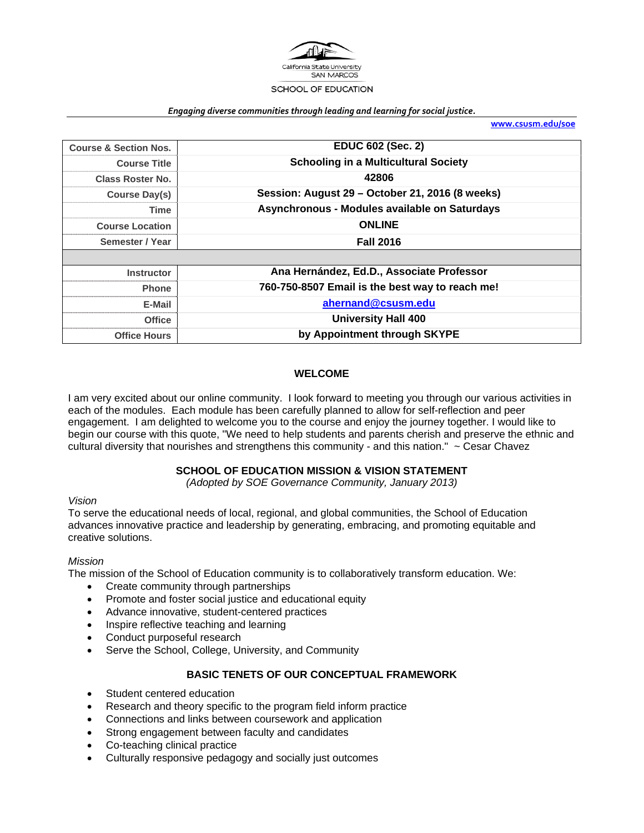

#### *Engaging diverse communities through leading and learning for social justice.*

**www.csusm.edu/soe**

| <b>Course &amp; Section Nos.</b> | <b>EDUC 602 (Sec. 2)</b>                        |
|----------------------------------|-------------------------------------------------|
| <b>Course Title</b>              | <b>Schooling in a Multicultural Society</b>     |
| <b>Class Roster No.</b>          | 42806                                           |
| <b>Course Day(s)</b>             | Session: August 29 - October 21, 2016 (8 weeks) |
| Time                             | Asynchronous - Modules available on Saturdays   |
| <b>Course Location</b>           | <b>ONLINE</b>                                   |
| Semester / Year                  | <b>Fall 2016</b>                                |
|                                  |                                                 |
| <b>Instructor</b>                | Ana Hernández, Ed.D., Associate Professor       |
| <b>Phone</b>                     | 760-750-8507 Email is the best way to reach me! |
| E-Mail                           | ahernand@csusm.edu                              |
| <b>Office</b>                    | <b>University Hall 400</b>                      |
| <b>Office Hours</b>              | by Appointment through SKYPE                    |

# **WELCOME**

I am very excited about our online community. I look forward to meeting you through our various activities in each of the modules. Each module has been carefully planned to allow for self-reflection and peer engagement. I am delighted to welcome you to the course and enjoy the journey together. I would like to begin our course with this quote, "We need to help students and parents cherish and preserve the ethnic and cultural diversity that nourishes and strengthens this community - and this nation."  $\sim$  Cesar Chavez

## **SCHOOL OF EDUCATION MISSION & VISION STATEMENT**

*(Adopted by SOE Governance Community, January 2013)* 

## *Vision*

To serve the educational needs of local, regional, and global communities, the School of Education advances innovative practice and leadership by generating, embracing, and promoting equitable and creative solutions.

## *Mission*

The mission of the School of Education community is to collaboratively transform education. We:

- Create community through partnerships
- Promote and foster social justice and educational equity
- Advance innovative, student-centered practices
- Inspire reflective teaching and learning
- Conduct purposeful research
- Serve the School, College, University, and Community

## **BASIC TENETS OF OUR CONCEPTUAL FRAMEWORK**

- Student centered education
- Research and theory specific to the program field inform practice
- Connections and links between coursework and application
- Strong engagement between faculty and candidates
- Co-teaching clinical practice
- Culturally responsive pedagogy and socially just outcomes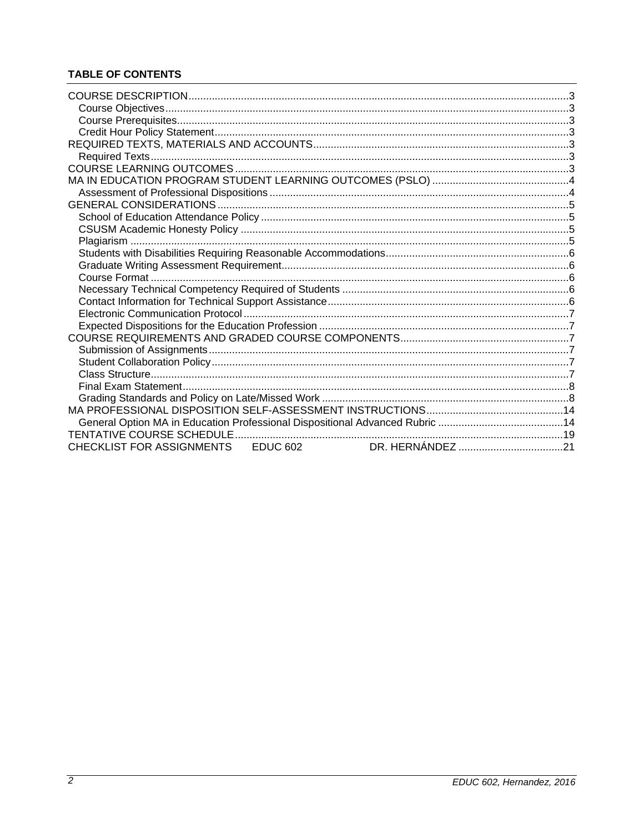# **TABLE OF CONTENTS**

| CHECKLIST FOR ASSIGNMENTS EDUC 602 |  |  |
|------------------------------------|--|--|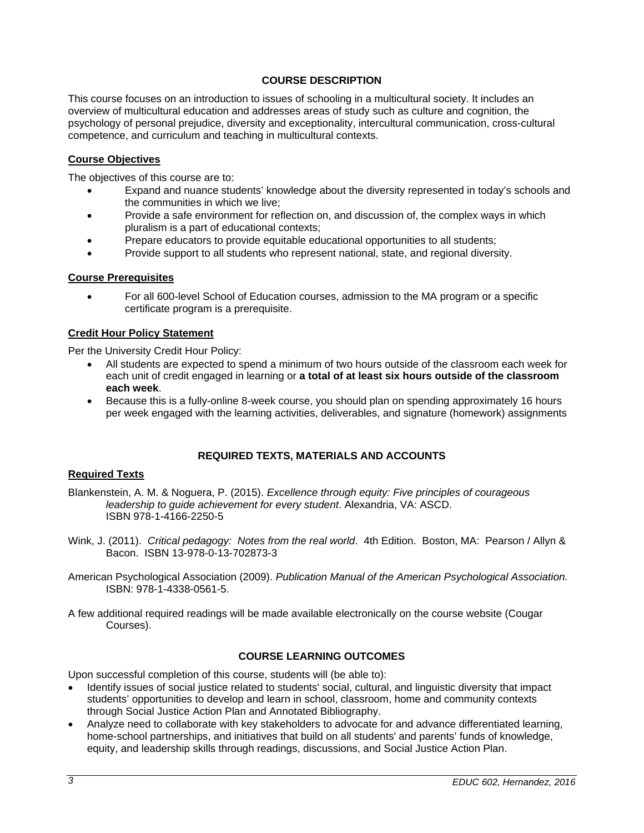# **COURSE DESCRIPTION**

This course focuses on an introduction to issues of schooling in a multicultural society. It includes an overview of multicultural education and addresses areas of study such as culture and cognition, the psychology of personal prejudice, diversity and exceptionality, intercultural communication, cross-cultural competence, and curriculum and teaching in multicultural contexts.

# **Course Objectives**

The objectives of this course are to:

- Expand and nuance students' knowledge about the diversity represented in today's schools and the communities in which we live;
- Provide a safe environment for reflection on, and discussion of, the complex ways in which pluralism is a part of educational contexts;
- Prepare educators to provide equitable educational opportunities to all students;
- Provide support to all students who represent national, state, and regional diversity.

## **Course Prerequisites**

 For all 600-level School of Education courses, admission to the MA program or a specific certificate program is a prerequisite.

# **Credit Hour Policy Statement**

Per the University Credit Hour Policy:

- All students are expected to spend a minimum of two hours outside of the classroom each week for each unit of credit engaged in learning or **a total of at least six hours outside of the classroom each week**.
- Because this is a fully-online 8-week course, you should plan on spending approximately 16 hours per week engaged with the learning activities, deliverables, and signature (homework) assignments

# **REQUIRED TEXTS, MATERIALS AND ACCOUNTS**

## **Required Texts**

- Blankenstein, A. M. & Noguera, P. (2015). *Excellence through equity: Five principles of courageous leadership to guide achievement for every student*. Alexandria, VA: ASCD. ISBN 978-1-4166-2250-5
- Wink, J. (2011). *Critical pedagogy: Notes from the real world*. 4th Edition. Boston, MA: Pearson / Allyn & Bacon. ISBN 13-978-0-13-702873-3
- American Psychological Association (2009). *Publication Manual of the American Psychological Association.* ISBN: 978-1-4338-0561-5.
- A few additional required readings will be made available electronically on the course website (Cougar Courses).

## **COURSE LEARNING OUTCOMES**

Upon successful completion of this course, students will (be able to):

- Identify issues of social justice related to students' social, cultural, and linguistic diversity that impact students' opportunities to develop and learn in school, classroom, home and community contexts through Social Justice Action Plan and Annotated Bibliography.
- Analyze need to collaborate with key stakeholders to advocate for and advance differentiated learning, home-school partnerships, and initiatives that build on all students' and parents' funds of knowledge, equity, and leadership skills through readings, discussions, and Social Justice Action Plan.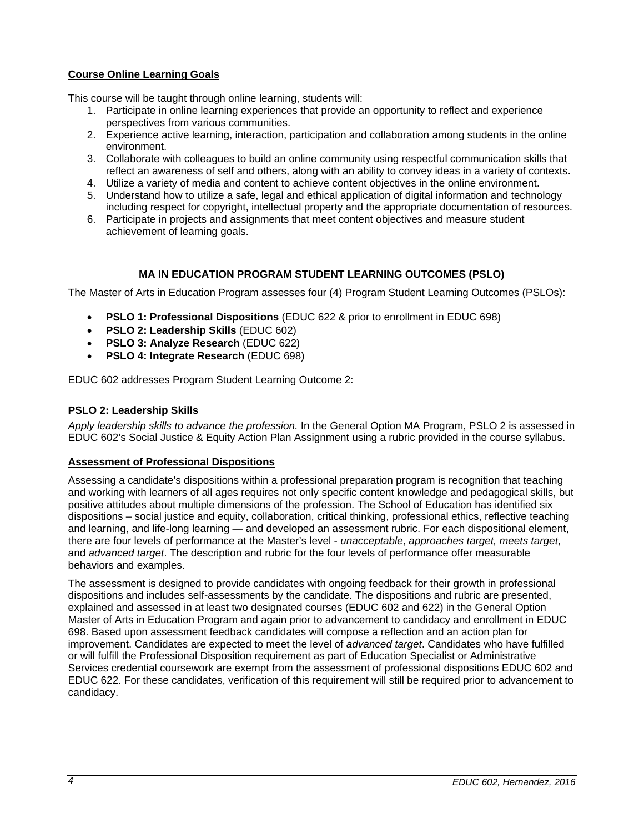# **Course Online Learning Goals**

This course will be taught through online learning, students will:

- 1. Participate in online learning experiences that provide an opportunity to reflect and experience perspectives from various communities.
- 2. Experience active learning, interaction, participation and collaboration among students in the online environment.
- 3. Collaborate with colleagues to build an online community using respectful communication skills that reflect an awareness of self and others, along with an ability to convey ideas in a variety of contexts.
- 4. Utilize a variety of media and content to achieve content objectives in the online environment.
- 5. Understand how to utilize a safe, legal and ethical application of digital information and technology including respect for copyright, intellectual property and the appropriate documentation of resources.
- 6. Participate in projects and assignments that meet content objectives and measure student achievement of learning goals.

# **MA IN EDUCATION PROGRAM STUDENT LEARNING OUTCOMES (PSLO)**

The Master of Arts in Education Program assesses four (4) Program Student Learning Outcomes (PSLOs):

- **PSLO 1: Professional Dispositions** (EDUC 622 & prior to enrollment in EDUC 698)
- **PSLO 2: Leadership Skills** (EDUC 602)
- **PSLO 3: Analyze Research** (EDUC 622)
- **PSLO 4: Integrate Research** (EDUC 698)

EDUC 602 addresses Program Student Learning Outcome 2:

# **PSLO 2: Leadership Skills**

*Apply leadership skills to advance the profession.* In the General Option MA Program, PSLO 2 is assessed in EDUC 602's Social Justice & Equity Action Plan Assignment using a rubric provided in the course syllabus.

## **Assessment of Professional Dispositions**

Assessing a candidate's dispositions within a professional preparation program is recognition that teaching and working with learners of all ages requires not only specific content knowledge and pedagogical skills, but positive attitudes about multiple dimensions of the profession. The School of Education has identified six dispositions – social justice and equity, collaboration, critical thinking, professional ethics, reflective teaching and learning, and life-long learning — and developed an assessment rubric. For each dispositional element, there are four levels of performance at the Master's level - *unacceptable*, *approaches target, meets target*, and *advanced target*. The description and rubric for the four levels of performance offer measurable behaviors and examples.

The assessment is designed to provide candidates with ongoing feedback for their growth in professional dispositions and includes self-assessments by the candidate. The dispositions and rubric are presented, explained and assessed in at least two designated courses (EDUC 602 and 622) in the General Option Master of Arts in Education Program and again prior to advancement to candidacy and enrollment in EDUC 698. Based upon assessment feedback candidates will compose a reflection and an action plan for improvement. Candidates are expected to meet the level of *advanced target*. Candidates who have fulfilled or will fulfill the Professional Disposition requirement as part of Education Specialist or Administrative Services credential coursework are exempt from the assessment of professional dispositions EDUC 602 and EDUC 622. For these candidates, verification of this requirement will still be required prior to advancement to candidacy.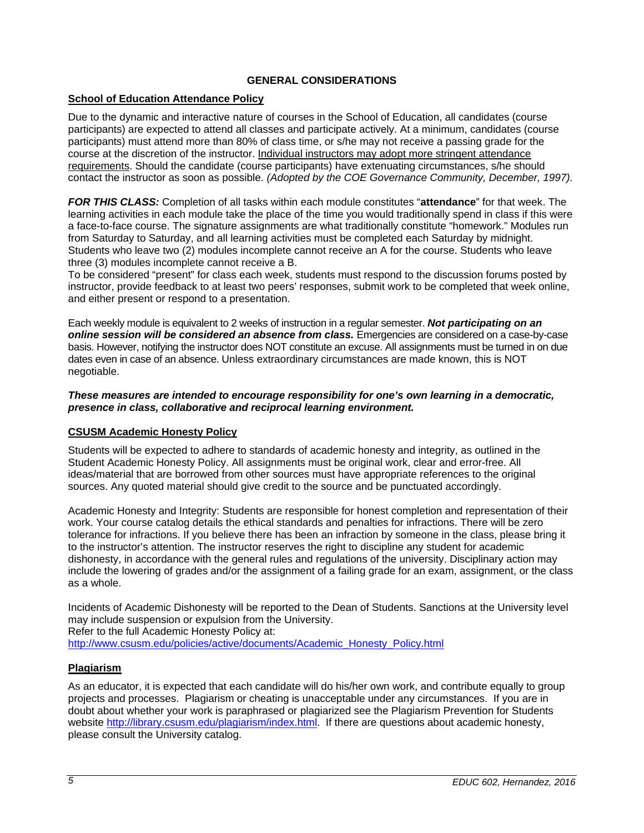# **GENERAL CONSIDERATIONS**

# **School of Education Attendance Policy**

Due to the dynamic and interactive nature of courses in the School of Education, all candidates (course participants) are expected to attend all classes and participate actively. At a minimum, candidates (course participants) must attend more than 80% of class time, or s/he may not receive a passing grade for the course at the discretion of the instructor. Individual instructors may adopt more stringent attendance requirements. Should the candidate (course participants) have extenuating circumstances, s/he should contact the instructor as soon as possible. *(Adopted by the COE Governance Community, December, 1997).* 

*FOR THIS CLASS:* Completion of all tasks within each module constitutes "**attendance**" for that week. The learning activities in each module take the place of the time you would traditionally spend in class if this were a face-to-face course. The signature assignments are what traditionally constitute "homework." Modules run from Saturday to Saturday, and all learning activities must be completed each Saturday by midnight. Students who leave two (2) modules incomplete cannot receive an A for the course. Students who leave three (3) modules incomplete cannot receive a B.

To be considered "present" for class each week, students must respond to the discussion forums posted by instructor, provide feedback to at least two peers' responses, submit work to be completed that week online, and either present or respond to a presentation.

Each weekly module is equivalent to 2 weeks of instruction in a regular semester. *Not participating on an online session will be considered an absence from class.* Emergencies are considered on a case-by-case basis. However, notifying the instructor does NOT constitute an excuse. All assignments must be turned in on due dates even in case of an absence. Unless extraordinary circumstances are made known, this is NOT negotiable.

## *These measures are intended to encourage responsibility for one's own learning in a democratic, presence in class, collaborative and reciprocal learning environment.*

# **CSUSM Academic Honesty Policy**

Students will be expected to adhere to standards of academic honesty and integrity, as outlined in the Student Academic Honesty Policy. All assignments must be original work, clear and error-free. All ideas/material that are borrowed from other sources must have appropriate references to the original sources. Any quoted material should give credit to the source and be punctuated accordingly.

Academic Honesty and Integrity: Students are responsible for honest completion and representation of their work. Your course catalog details the ethical standards and penalties for infractions. There will be zero tolerance for infractions. If you believe there has been an infraction by someone in the class, please bring it to the instructor's attention. The instructor reserves the right to discipline any student for academic dishonesty, in accordance with the general rules and regulations of the university. Disciplinary action may include the lowering of grades and/or the assignment of a failing grade for an exam, assignment, or the class as a whole.

Incidents of Academic Dishonesty will be reported to the Dean of Students. Sanctions at the University level may include suspension or expulsion from the University.

Refer to the full Academic Honesty Policy at:

http://www.csusm.edu/policies/active/documents/Academic\_Honesty\_Policy.html

# **Plagiarism**

As an educator, it is expected that each candidate will do his/her own work, and contribute equally to group projects and processes. Plagiarism or cheating is unacceptable under any circumstances. If you are in doubt about whether your work is paraphrased or plagiarized see the Plagiarism Prevention for Students website http://library.csusm.edu/plagiarism/index.html. If there are questions about academic honesty, please consult the University catalog.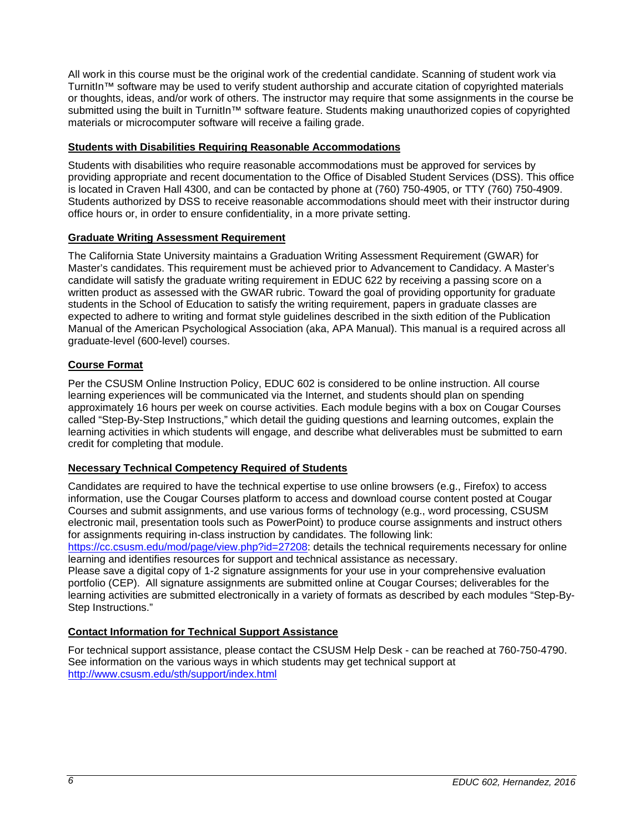All work in this course must be the original work of the credential candidate. Scanning of student work via TurnitIn™ software may be used to verify student authorship and accurate citation of copyrighted materials or thoughts, ideas, and/or work of others. The instructor may require that some assignments in the course be submitted using the built in TurnitIn™ software feature. Students making unauthorized copies of copyrighted materials or microcomputer software will receive a failing grade.

# **Students with Disabilities Requiring Reasonable Accommodations**

Students with disabilities who require reasonable accommodations must be approved for services by providing appropriate and recent documentation to the Office of Disabled Student Services (DSS). This office is located in Craven Hall 4300, and can be contacted by phone at (760) 750-4905, or TTY (760) 750-4909. Students authorized by DSS to receive reasonable accommodations should meet with their instructor during office hours or, in order to ensure confidentiality, in a more private setting.

# **Graduate Writing Assessment Requirement**

The California State University maintains a Graduation Writing Assessment Requirement (GWAR) for Master's candidates. This requirement must be achieved prior to Advancement to Candidacy. A Master's candidate will satisfy the graduate writing requirement in EDUC 622 by receiving a passing score on a written product as assessed with the GWAR rubric. Toward the goal of providing opportunity for graduate students in the School of Education to satisfy the writing requirement, papers in graduate classes are expected to adhere to writing and format style guidelines described in the sixth edition of the Publication Manual of the American Psychological Association (aka, APA Manual). This manual is a required across all graduate-level (600-level) courses.

# **Course Format**

Per the CSUSM Online Instruction Policy, EDUC 602 is considered to be online instruction. All course learning experiences will be communicated via the Internet, and students should plan on spending approximately 16 hours per week on course activities. Each module begins with a box on Cougar Courses called "Step-By-Step Instructions," which detail the guiding questions and learning outcomes, explain the learning activities in which students will engage, and describe what deliverables must be submitted to earn credit for completing that module.

# **Necessary Technical Competency Required of Students**

Candidates are required to have the technical expertise to use online browsers (e.g., Firefox) to access information, use the Cougar Courses platform to access and download course content posted at Cougar Courses and submit assignments, and use various forms of technology (e.g., word processing, CSUSM electronic mail, presentation tools such as PowerPoint) to produce course assignments and instruct others for assignments requiring in-class instruction by candidates. The following link:

https://cc.csusm.edu/mod/page/view.php?id=27208: details the technical requirements necessary for online learning and identifies resources for support and technical assistance as necessary.

Please save a digital copy of 1-2 signature assignments for your use in your comprehensive evaluation portfolio (CEP). All signature assignments are submitted online at Cougar Courses; deliverables for the learning activities are submitted electronically in a variety of formats as described by each modules "Step-By-Step Instructions."

# **Contact Information for Technical Support Assistance**

For technical support assistance, please contact the CSUSM Help Desk - can be reached at 760-750-4790. See information on the various ways in which students may get technical support at http://www.csusm.edu/sth/support/index.html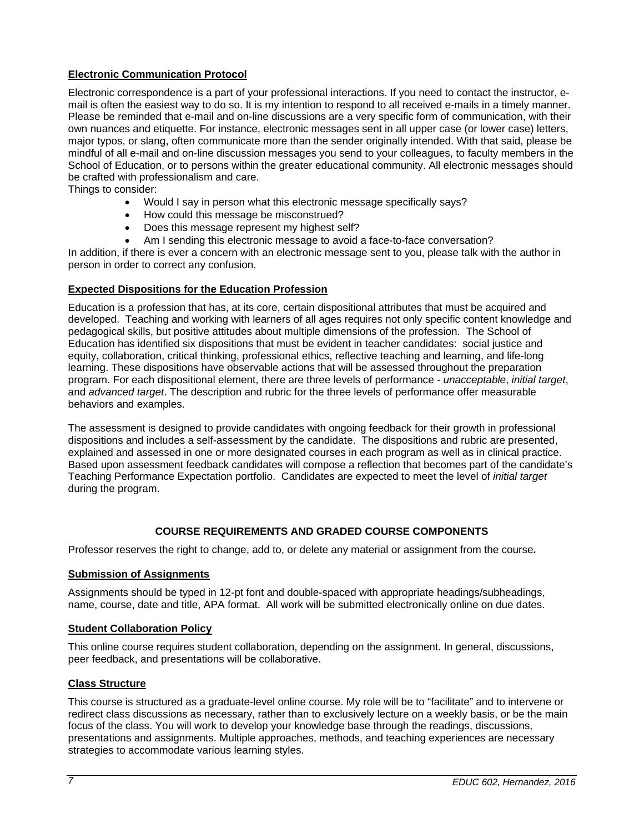# **Electronic Communication Protocol**

Electronic correspondence is a part of your professional interactions. If you need to contact the instructor, email is often the easiest way to do so. It is my intention to respond to all received e-mails in a timely manner. Please be reminded that e-mail and on-line discussions are a very specific form of communication, with their own nuances and etiquette. For instance, electronic messages sent in all upper case (or lower case) letters, major typos, or slang, often communicate more than the sender originally intended. With that said, please be mindful of all e-mail and on-line discussion messages you send to your colleagues, to faculty members in the School of Education, or to persons within the greater educational community. All electronic messages should be crafted with professionalism and care.

Things to consider:

- Would I say in person what this electronic message specifically says?
- How could this message be misconstrued?
- Does this message represent my highest self?
- Am I sending this electronic message to avoid a face-to-face conversation?

In addition, if there is ever a concern with an electronic message sent to you, please talk with the author in person in order to correct any confusion.

## **Expected Dispositions for the Education Profession**

Education is a profession that has, at its core, certain dispositional attributes that must be acquired and developed. Teaching and working with learners of all ages requires not only specific content knowledge and pedagogical skills, but positive attitudes about multiple dimensions of the profession. The School of Education has identified six dispositions that must be evident in teacher candidates: social justice and equity, collaboration, critical thinking, professional ethics, reflective teaching and learning, and life-long learning. These dispositions have observable actions that will be assessed throughout the preparation program. For each dispositional element, there are three levels of performance - *unacceptable*, *initial target*, and *advanced target*. The description and rubric for the three levels of performance offer measurable behaviors and examples.

The assessment is designed to provide candidates with ongoing feedback for their growth in professional dispositions and includes a self-assessment by the candidate. The dispositions and rubric are presented, explained and assessed in one or more designated courses in each program as well as in clinical practice. Based upon assessment feedback candidates will compose a reflection that becomes part of the candidate's Teaching Performance Expectation portfolio. Candidates are expected to meet the level of *initial target* during the program.

# **COURSE REQUIREMENTS AND GRADED COURSE COMPONENTS**

Professor reserves the right to change, add to, or delete any material or assignment from the course*.* 

## **Submission of Assignments**

Assignments should be typed in 12-pt font and double-spaced with appropriate headings/subheadings, name, course, date and title, APA format. All work will be submitted electronically online on due dates.

## **Student Collaboration Policy**

This online course requires student collaboration, depending on the assignment. In general, discussions, peer feedback, and presentations will be collaborative.

## **Class Structure**

This course is structured as a graduate-level online course. My role will be to "facilitate" and to intervene or redirect class discussions as necessary, rather than to exclusively lecture on a weekly basis, or be the main focus of the class. You will work to develop your knowledge base through the readings, discussions, presentations and assignments. Multiple approaches, methods, and teaching experiences are necessary strategies to accommodate various learning styles.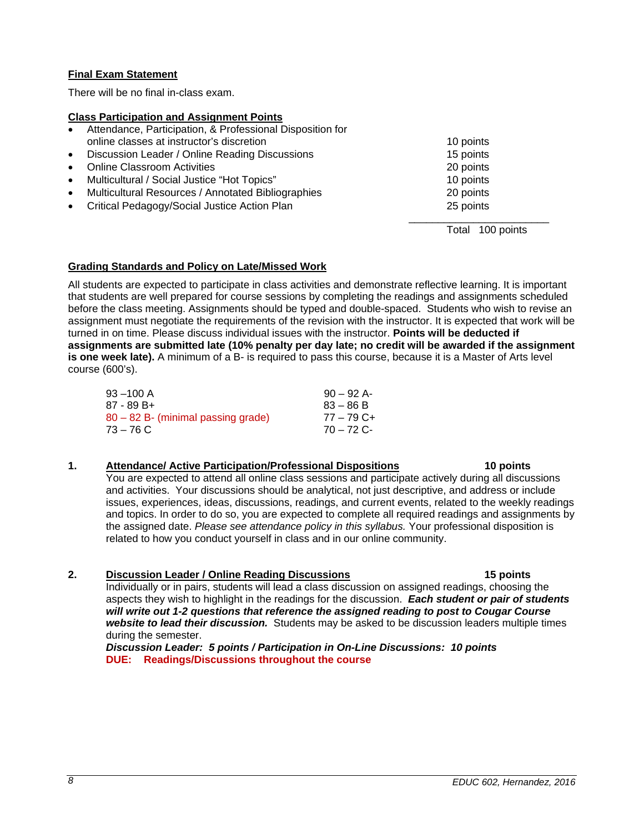# **Final Exam Statement**

There will be no final in-class exam.

## **Class Participation and Assignment Points**

- Attendance, Participation, & Professional Disposition for online classes at instructor's discretion 10 points 10 points
- Discussion Leader / Online Reading Discussions 15 points Online Classroom Activities 20 points
- Multicultural / Social Justice "Hot Topics" 10 points
- Multicultural Resources / Annotated Bibliographies 20 points
- Critical Pedagogy/Social Justice Action Plan 25 points

Total 100 points

# **Grading Standards and Policy on Late/Missed Work**

All students are expected to participate in class activities and demonstrate reflective learning. It is important that students are well prepared for course sessions by completing the readings and assignments scheduled before the class meeting. Assignments should be typed and double-spaced. Students who wish to revise an assignment must negotiate the requirements of the revision with the instructor. It is expected that work will be turned in on time. Please discuss individual issues with the instructor. **Points will be deducted if assignments are submitted late (10% penalty per day late; no credit will be awarded if the assignment is one week late).** A minimum of a B- is required to pass this course, because it is a Master of Arts level course (600's).

 $\frac{1}{2}$  , and the set of the set of the set of the set of the set of the set of the set of the set of the set of the set of the set of the set of the set of the set of the set of the set of the set of the set of the set

| $93 - 100$ A                       | $90 - 92$ A- |
|------------------------------------|--------------|
| 87 - 89 B+                         | $83 - 86 B$  |
| 80 – 82 B- (minimal passing grade) | 77 – 79 C+   |
| $73 - 76$ C                        | $70 - 72$ C- |

# **1. Attendance/ Active Participation/Professional Dispositions 10 points**

You are expected to attend all online class sessions and participate actively during all discussions and activities. Your discussions should be analytical, not just descriptive, and address or include issues, experiences, ideas, discussions, readings, and current events, related to the weekly readings and topics. In order to do so, you are expected to complete all required readings and assignments by the assigned date. *Please see attendance policy in this syllabus.* Your professional disposition is related to how you conduct yourself in class and in our online community.

## **2. Discussion Leader / Online Reading Discussions 15 points**

Individually or in pairs, students will lead a class discussion on assigned readings, choosing the aspects they wish to highlight in the readings for the discussion. *Each student or pair of students will write out 1-2 questions that reference the assigned reading to post to Cougar Course website to lead their discussion.* Students may be asked to be discussion leaders multiple times during the semester.

*Discussion Leader: 5 points / Participation in On-Line Discussions: 10 points*  **DUE: Readings/Discussions throughout the course**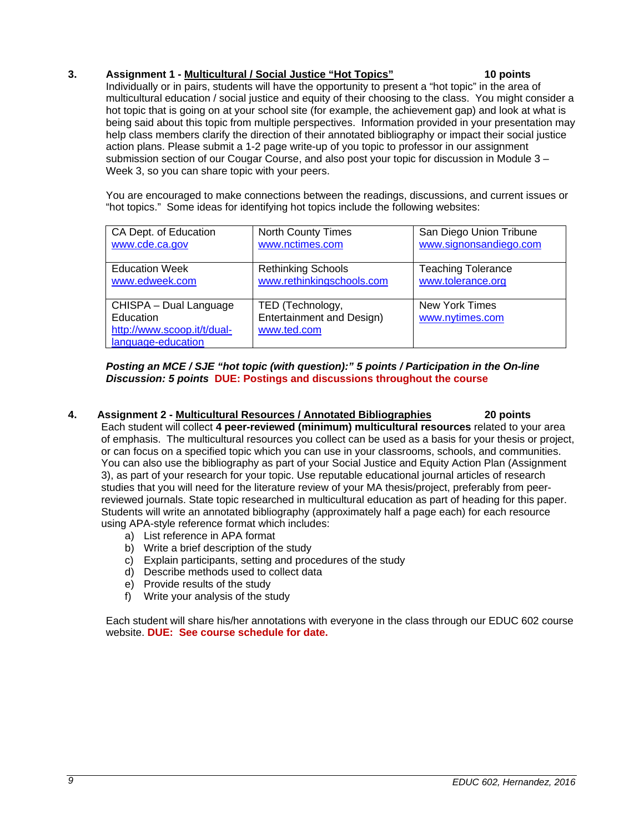# **3. Assignment 1 - Multicultural / Social Justice "Hot Topics" 10 points**

Individually or in pairs, students will have the opportunity to present a "hot topic" in the area of multicultural education / social justice and equity of their choosing to the class. You might consider a hot topic that is going on at your school site (for example, the achievement gap) and look at what is being said about this topic from multiple perspectives. Information provided in your presentation may help class members clarify the direction of their annotated bibliography or impact their social justice action plans. Please submit a 1-2 page write-up of you topic to professor in our assignment submission section of our Cougar Course, and also post your topic for discussion in Module 3 – Week 3, so you can share topic with your peers.

You are encouraged to make connections between the readings, discussions, and current issues or "hot topics." Some ideas for identifying hot topics include the following websites:

| CA Dept. of Education                                                                    | <b>North County Times</b>                                    | San Diego Union Tribune                  |
|------------------------------------------------------------------------------------------|--------------------------------------------------------------|------------------------------------------|
| www.cde.ca.gov                                                                           | www.nctimes.com                                              | www.signonsandiego.com                   |
| <b>Education Week</b>                                                                    | <b>Rethinking Schools</b>                                    | <b>Teaching Tolerance</b>                |
| www.edweek.com                                                                           | www.rethinkingschools.com                                    | www.tolerance.org                        |
| CHISPA - Dual Language<br>Education<br>http://www.scoop.it/t/dual-<br>language-education | TED (Technology,<br>Entertainment and Design)<br>www.ted.com | <b>New York Times</b><br>www.nytimes.com |

## *Posting an MCE / SJE "hot topic (with question):" 5 points / Participation in the On-line Discussion: 5 points* **DUE: Postings and discussions throughout the course**

- **4. Assignment 2 - Multicultural Resources / Annotated Bibliographies 20 points**  Each student will collect **4 peer-reviewed (minimum) multicultural resources** related to your area of emphasis. The multicultural resources you collect can be used as a basis for your thesis or project, or can focus on a specified topic which you can use in your classrooms, schools, and communities. You can also use the bibliography as part of your Social Justice and Equity Action Plan (Assignment 3), as part of your research for your topic. Use reputable educational journal articles of research studies that you will need for the literature review of your MA thesis/project, preferably from peerreviewed journals. State topic researched in multicultural education as part of heading for this paper. Students will write an annotated bibliography (approximately half a page each) for each resource using APA-style reference format which includes:
	- a) List reference in APA format
	- b) Write a brief description of the study
	- c) Explain participants, setting and procedures of the study
	- d) Describe methods used to collect data
	- e) Provide results of the study
	- f) Write your analysis of the study

Each student will share his/her annotations with everyone in the class through our EDUC 602 course website. **DUE: See course schedule for date.**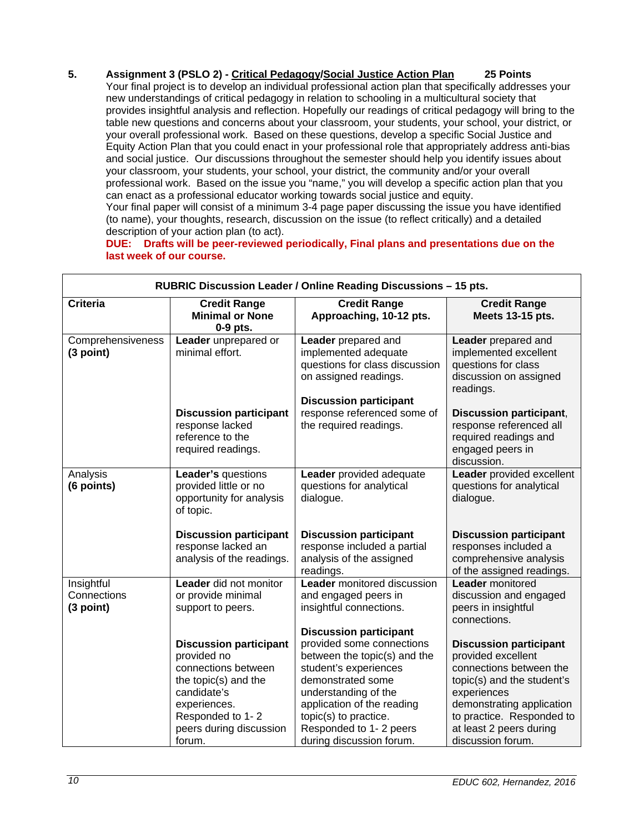# **5. Assignment 3 (PSLO 2) - Critical Pedagogy/Social Justice Action Plan 25 Points**

Your final project is to develop an individual professional action plan that specifically addresses your new understandings of critical pedagogy in relation to schooling in a multicultural society that provides insightful analysis and reflection. Hopefully our readings of critical pedagogy will bring to the table new questions and concerns about your classroom, your students, your school, your district, or your overall professional work. Based on these questions, develop a specific Social Justice and Equity Action Plan that you could enact in your professional role that appropriately address anti-bias and social justice. Our discussions throughout the semester should help you identify issues about your classroom, your students, your school, your district, the community and/or your overall professional work. Based on the issue you "name," you will develop a specific action plan that you can enact as a professional educator working towards social justice and equity. Your final paper will consist of a minimum 3-4 page paper discussing the issue you have identified

(to name), your thoughts, research, discussion on the issue (to reflect critically) and a detailed description of your action plan (to act).

**DUE: Drafts will be peer-reviewed periodically, Final plans and presentations due on the last week of our course.** 

| RUBRIC Discussion Leader / Online Reading Discussions - 15 pts. |                                                                                                                                                                                     |                                                                                                                                                                                                                                                                               |                                                                                                                                                                                                                                       |  |  |
|-----------------------------------------------------------------|-------------------------------------------------------------------------------------------------------------------------------------------------------------------------------------|-------------------------------------------------------------------------------------------------------------------------------------------------------------------------------------------------------------------------------------------------------------------------------|---------------------------------------------------------------------------------------------------------------------------------------------------------------------------------------------------------------------------------------|--|--|
| <b>Criteria</b>                                                 | <b>Credit Range</b><br><b>Minimal or None</b><br>0-9 pts.                                                                                                                           | <b>Credit Range</b><br>Approaching, 10-12 pts.                                                                                                                                                                                                                                | <b>Credit Range</b><br>Meets 13-15 pts.                                                                                                                                                                                               |  |  |
| Comprehensiveness<br>(3 point)                                  | Leader unprepared or<br>minimal effort.                                                                                                                                             | Leader prepared and<br>implemented adequate<br>questions for class discussion<br>on assigned readings.<br><b>Discussion participant</b>                                                                                                                                       | Leader prepared and<br>implemented excellent<br>questions for class<br>discussion on assigned<br>readings.                                                                                                                            |  |  |
|                                                                 | <b>Discussion participant</b><br>response lacked<br>reference to the<br>required readings.                                                                                          | response referenced some of<br>the required readings.                                                                                                                                                                                                                         | <b>Discussion participant,</b><br>response referenced all<br>required readings and<br>engaged peers in<br>discussion.                                                                                                                 |  |  |
| Analysis<br>(6 points)                                          | Leader's questions<br>provided little or no<br>opportunity for analysis<br>of topic.                                                                                                | Leader provided adequate<br>questions for analytical<br>dialogue.                                                                                                                                                                                                             | Leader provided excellent<br>questions for analytical<br>dialogue.                                                                                                                                                                    |  |  |
|                                                                 | <b>Discussion participant</b><br>response lacked an<br>analysis of the readings.                                                                                                    | <b>Discussion participant</b><br>response included a partial<br>analysis of the assigned<br>readings.                                                                                                                                                                         | <b>Discussion participant</b><br>responses included a<br>comprehensive analysis<br>of the assigned readings.                                                                                                                          |  |  |
| Insightful<br>Connections<br>(3 point)                          | Leader did not monitor<br>or provide minimal<br>support to peers.                                                                                                                   | Leader monitored discussion<br>and engaged peers in<br>insightful connections.                                                                                                                                                                                                | <b>Leader</b> monitored<br>discussion and engaged<br>peers in insightful<br>connections.                                                                                                                                              |  |  |
|                                                                 | <b>Discussion participant</b><br>provided no<br>connections between<br>the topic(s) and the<br>candidate's<br>experiences.<br>Responded to 1-2<br>peers during discussion<br>forum. | <b>Discussion participant</b><br>provided some connections<br>between the topic(s) and the<br>student's experiences<br>demonstrated some<br>understanding of the<br>application of the reading<br>topic(s) to practice.<br>Responded to 1-2 peers<br>during discussion forum. | <b>Discussion participant</b><br>provided excellent<br>connections between the<br>topic(s) and the student's<br>experiences<br>demonstrating application<br>to practice. Responded to<br>at least 2 peers during<br>discussion forum. |  |  |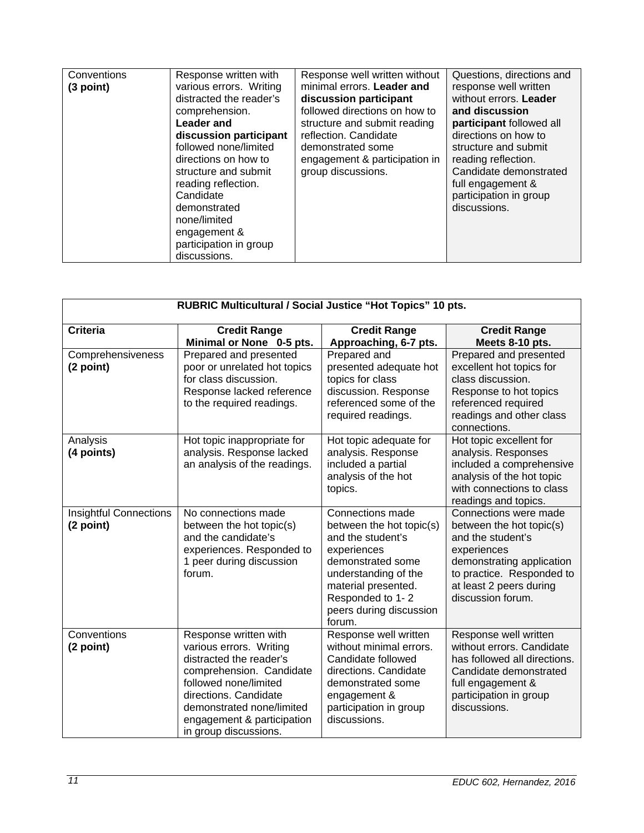| Conventions<br>(3 point) | Response written with<br>various errors. Writing<br>distracted the reader's<br>comprehension.<br>Leader and<br>discussion participant<br>followed none/limited<br>directions on how to<br>structure and submit<br>reading reflection.<br>Candidate<br>demonstrated<br>none/limited<br>engagement &<br>participation in group<br>discussions. | Response well written without<br>minimal errors. Leader and<br>discussion participant<br>followed directions on how to<br>structure and submit reading<br>reflection. Candidate<br>demonstrated some<br>engagement & participation in<br>group discussions. | Questions, directions and<br>response well written<br>without errors. Leader<br>and discussion<br>participant followed all<br>directions on how to<br>structure and submit<br>reading reflection.<br>Candidate demonstrated<br>full engagement &<br>participation in group<br>discussions. |
|--------------------------|----------------------------------------------------------------------------------------------------------------------------------------------------------------------------------------------------------------------------------------------------------------------------------------------------------------------------------------------|-------------------------------------------------------------------------------------------------------------------------------------------------------------------------------------------------------------------------------------------------------------|--------------------------------------------------------------------------------------------------------------------------------------------------------------------------------------------------------------------------------------------------------------------------------------------|
|--------------------------|----------------------------------------------------------------------------------------------------------------------------------------------------------------------------------------------------------------------------------------------------------------------------------------------------------------------------------------------|-------------------------------------------------------------------------------------------------------------------------------------------------------------------------------------------------------------------------------------------------------------|--------------------------------------------------------------------------------------------------------------------------------------------------------------------------------------------------------------------------------------------------------------------------------------------|

| RUBRIC Multicultural / Social Justice "Hot Topics" 10 pts. |                                                                                                                                                                                                                                               |                                                                                                                                                                                                               |                                                                                                                                                                                                 |  |
|------------------------------------------------------------|-----------------------------------------------------------------------------------------------------------------------------------------------------------------------------------------------------------------------------------------------|---------------------------------------------------------------------------------------------------------------------------------------------------------------------------------------------------------------|-------------------------------------------------------------------------------------------------------------------------------------------------------------------------------------------------|--|
| <b>Criteria</b>                                            | <b>Credit Range</b><br>Minimal or None 0-5 pts.                                                                                                                                                                                               | <b>Credit Range</b><br>Approaching, 6-7 pts.                                                                                                                                                                  | <b>Credit Range</b><br>Meets 8-10 pts.                                                                                                                                                          |  |
| Comprehensiveness<br>(2 point)                             | Prepared and presented<br>poor or unrelated hot topics<br>for class discussion.<br>Response lacked reference<br>to the required readings.                                                                                                     | Prepared and<br>presented adequate hot<br>topics for class<br>discussion. Response<br>referenced some of the<br>required readings.                                                                            | Prepared and presented<br>excellent hot topics for<br>class discussion.<br>Response to hot topics<br>referenced required<br>readings and other class<br>connections.                            |  |
| Analysis<br>(4 points)                                     | Hot topic inappropriate for<br>analysis. Response lacked<br>an analysis of the readings.                                                                                                                                                      | Hot topic adequate for<br>analysis. Response<br>included a partial<br>analysis of the hot<br>topics.                                                                                                          | Hot topic excellent for<br>analysis. Responses<br>included a comprehensive<br>analysis of the hot topic<br>with connections to class<br>readings and topics.                                    |  |
| <b>Insightful Connections</b><br>(2 point)                 | No connections made<br>between the hot topic(s)<br>and the candidate's<br>experiences. Responded to<br>1 peer during discussion<br>forum.                                                                                                     | Connections made<br>between the hot topic(s)<br>and the student's<br>experiences<br>demonstrated some<br>understanding of the<br>material presented.<br>Responded to 1-2<br>peers during discussion<br>forum. | Connections were made<br>between the hot topic(s)<br>and the student's<br>experiences<br>demonstrating application<br>to practice. Responded to<br>at least 2 peers during<br>discussion forum. |  |
| Conventions<br>(2 point)                                   | Response written with<br>various errors. Writing<br>distracted the reader's<br>comprehension. Candidate<br>followed none/limited<br>directions. Candidate<br>demonstrated none/limited<br>engagement & participation<br>in group discussions. | Response well written<br>without minimal errors.<br>Candidate followed<br>directions. Candidate<br>demonstrated some<br>engagement &<br>participation in group<br>discussions.                                | Response well written<br>without errors. Candidate<br>has followed all directions.<br>Candidate demonstrated<br>full engagement &<br>participation in group<br>discussions.                     |  |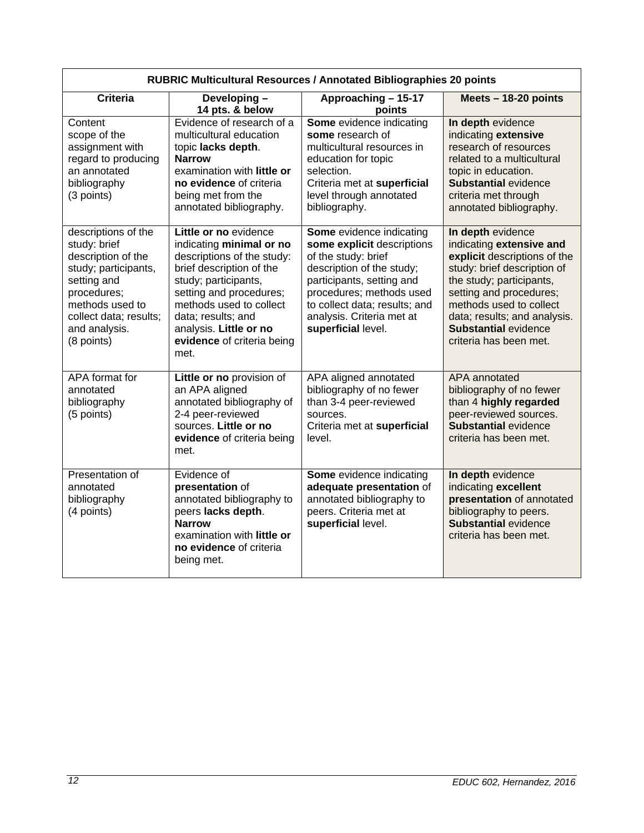| RUBRIC Multicultural Resources / Annotated Bibliographies 20 points                                                                                                                         |                                                                                                                                                                                                                                                                                 |                                                                                                                                                                                                                                                         |                                                                                                                                                                                                                                                                                         |  |
|---------------------------------------------------------------------------------------------------------------------------------------------------------------------------------------------|---------------------------------------------------------------------------------------------------------------------------------------------------------------------------------------------------------------------------------------------------------------------------------|---------------------------------------------------------------------------------------------------------------------------------------------------------------------------------------------------------------------------------------------------------|-----------------------------------------------------------------------------------------------------------------------------------------------------------------------------------------------------------------------------------------------------------------------------------------|--|
| <b>Criteria</b>                                                                                                                                                                             | Developing-<br>14 pts. & below                                                                                                                                                                                                                                                  | Approaching - 15-17<br>points                                                                                                                                                                                                                           | Meets $-18-20$ points                                                                                                                                                                                                                                                                   |  |
| Content<br>scope of the<br>assignment with<br>regard to producing<br>an annotated<br>bibliography<br>(3 points)                                                                             | Evidence of research of a<br>multicultural education<br>topic lacks depth.<br><b>Narrow</b><br>examination with little or<br>no evidence of criteria<br>being met from the<br>annotated bibliography.                                                                           | Some evidence indicating<br>some research of<br>multicultural resources in<br>education for topic<br>selection.<br>Criteria met at superficial<br>level through annotated<br>bibliography.                                                              | In depth evidence<br>indicating extensive<br>research of resources<br>related to a multicultural<br>topic in education.<br><b>Substantial evidence</b><br>criteria met through<br>annotated bibliography.                                                                               |  |
| descriptions of the<br>study: brief<br>description of the<br>study; participants,<br>setting and<br>procedures;<br>methods used to<br>collect data; results;<br>and analysis.<br>(8 points) | Little or no evidence<br>indicating minimal or no<br>descriptions of the study:<br>brief description of the<br>study; participants,<br>setting and procedures;<br>methods used to collect<br>data; results; and<br>analysis. Little or no<br>evidence of criteria being<br>met. | Some evidence indicating<br>some explicit descriptions<br>of the study: brief<br>description of the study;<br>participants, setting and<br>procedures; methods used<br>to collect data; results; and<br>analysis. Criteria met at<br>superficial level. | In depth evidence<br>indicating extensive and<br>explicit descriptions of the<br>study: brief description of<br>the study; participants,<br>setting and procedures;<br>methods used to collect<br>data; results; and analysis.<br><b>Substantial evidence</b><br>criteria has been met. |  |
| APA format for<br>annotated<br>bibliography<br>(5 points)                                                                                                                                   | Little or no provision of<br>an APA aligned<br>annotated bibliography of<br>2-4 peer-reviewed<br>sources. Little or no<br>evidence of criteria being<br>met.                                                                                                                    | APA aligned annotated<br>bibliography of no fewer<br>than 3-4 peer-reviewed<br>sources.<br>Criteria met at superficial<br>level.                                                                                                                        | APA annotated<br>bibliography of no fewer<br>than 4 highly regarded<br>peer-reviewed sources.<br><b>Substantial evidence</b><br>criteria has been met.                                                                                                                                  |  |
| Presentation of<br>annotated<br>bibliography<br>(4 points)                                                                                                                                  | Evidence of<br>presentation of<br>annotated bibliography to<br>peers lacks depth.<br><b>Narrow</b><br>examination with little or<br>no evidence of criteria<br>being met.                                                                                                       | Some evidence indicating<br>adequate presentation of<br>annotated bibliography to<br>peers. Criteria met at<br>superficial level.                                                                                                                       | In depth evidence<br>indicating excellent<br>presentation of annotated<br>bibliography to peers.<br><b>Substantial evidence</b><br>criteria has been met.                                                                                                                               |  |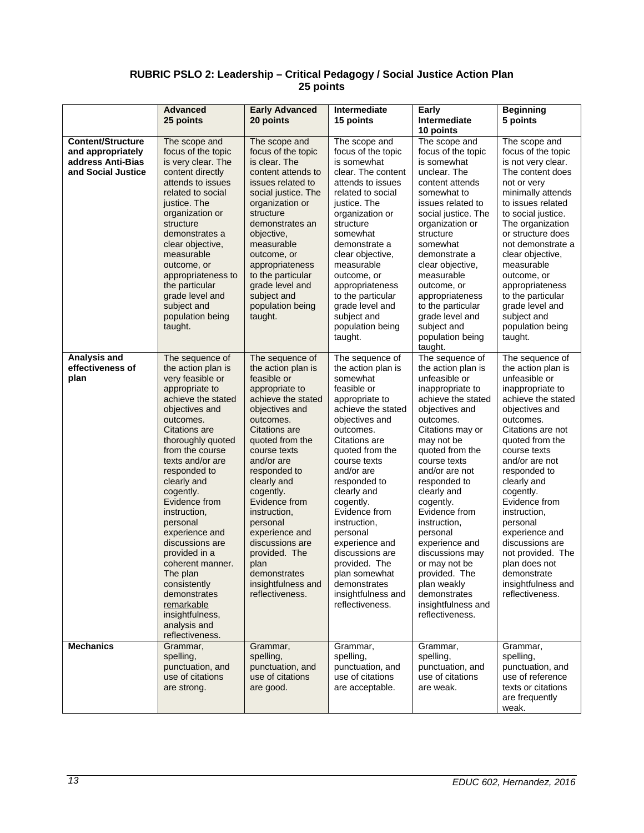## **RUBRIC PSLO 2: Leadership – Critical Pedagogy / Social Justice Action Plan 25 points**

|                                                                                          | <b>Advanced</b><br>25 points                                                                                                                                                                                                                                                                                                                                                                                                                                                                     | <b>Early Advanced</b><br>20 points                                                                                                                                                                                                                                                                                                                                                                            | Intermediate<br>15 points                                                                                                                                                                                                                                                                                                                                                                                                          | Early<br>Intermediate<br>10 points                                                                                                                                                                                                                                                                                                                                                                                                                             | <b>Beginning</b><br>5 points                                                                                                                                                                                                                                                                                                                                                                                                          |
|------------------------------------------------------------------------------------------|--------------------------------------------------------------------------------------------------------------------------------------------------------------------------------------------------------------------------------------------------------------------------------------------------------------------------------------------------------------------------------------------------------------------------------------------------------------------------------------------------|---------------------------------------------------------------------------------------------------------------------------------------------------------------------------------------------------------------------------------------------------------------------------------------------------------------------------------------------------------------------------------------------------------------|------------------------------------------------------------------------------------------------------------------------------------------------------------------------------------------------------------------------------------------------------------------------------------------------------------------------------------------------------------------------------------------------------------------------------------|----------------------------------------------------------------------------------------------------------------------------------------------------------------------------------------------------------------------------------------------------------------------------------------------------------------------------------------------------------------------------------------------------------------------------------------------------------------|---------------------------------------------------------------------------------------------------------------------------------------------------------------------------------------------------------------------------------------------------------------------------------------------------------------------------------------------------------------------------------------------------------------------------------------|
| <b>Content/Structure</b><br>and appropriately<br>address Anti-Bias<br>and Social Justice | The scope and<br>focus of the topic<br>is very clear. The<br>content directly<br>attends to issues<br>related to social<br>justice. The<br>organization or<br>structure<br>demonstrates a<br>clear objective,<br>measurable<br>outcome, or<br>appropriateness to<br>the particular<br>grade level and<br>subject and<br>population being<br>taught.                                                                                                                                              | The scope and<br>focus of the topic<br>is clear. The<br>content attends to<br>issues related to<br>social justice. The<br>organization or<br>structure<br>demonstrates an<br>objective,<br>measurable<br>outcome, or<br>appropriateness<br>to the particular<br>grade level and<br>subject and<br>population being<br>taught.                                                                                 | The scope and<br>focus of the topic<br>is somewhat<br>clear. The content<br>attends to issues<br>related to social<br>justice. The<br>organization or<br>structure<br>somewhat<br>demonstrate a<br>clear objective,<br>measurable<br>outcome, or<br>appropriateness<br>to the particular<br>grade level and<br>subject and<br>population being<br>taught.                                                                          | The scope and<br>focus of the topic<br>is somewhat<br>unclear. The<br>content attends<br>somewhat to<br>issues related to<br>social justice. The<br>organization or<br>structure<br>somewhat<br>demonstrate a<br>clear objective,<br>measurable<br>outcome, or<br>appropriateness<br>to the particular<br>grade level and<br>subject and<br>population being<br>taught.                                                                                        | The scope and<br>focus of the topic<br>is not very clear.<br>The content does<br>not or very<br>minimally attends<br>to issues related<br>to social justice.<br>The organization<br>or structure does<br>not demonstrate a<br>clear objective,<br>measurable<br>outcome, or<br>appropriateness<br>to the particular<br>grade level and<br>subject and<br>population being<br>taught.                                                  |
| Analysis and<br>effectiveness of<br>plan                                                 | The sequence of<br>the action plan is<br>very feasible or<br>appropriate to<br>achieve the stated<br>objectives and<br>outcomes.<br>Citations are<br>thoroughly quoted<br>from the course<br>texts and/or are<br>responded to<br>clearly and<br>cogently.<br>Evidence from<br>instruction,<br>personal<br>experience and<br>discussions are<br>provided in a<br>coherent manner.<br>The plan<br>consistently<br>demonstrates<br>remarkable<br>insightfulness,<br>analysis and<br>reflectiveness. | The sequence of<br>the action plan is<br>feasible or<br>appropriate to<br>achieve the stated<br>objectives and<br>outcomes.<br>Citations are<br>quoted from the<br>course texts<br>and/or are<br>responded to<br>clearly and<br>cogently.<br>Evidence from<br>instruction.<br>personal<br>experience and<br>discussions are<br>provided. The<br>plan<br>demonstrates<br>insightfulness and<br>reflectiveness. | The sequence of<br>the action plan is<br>somewhat<br>feasible or<br>appropriate to<br>achieve the stated<br>objectives and<br>outcomes.<br>Citations are<br>quoted from the<br>course texts<br>and/or are<br>responded to<br>clearly and<br>cogently.<br>Evidence from<br>instruction,<br>personal<br>experience and<br>discussions are<br>provided. The<br>plan somewhat<br>demonstrates<br>insightfulness and<br>reflectiveness. | The sequence of<br>the action plan is<br>unfeasible or<br>inappropriate to<br>achieve the stated<br>objectives and<br>outcomes.<br>Citations may or<br>may not be<br>quoted from the<br>course texts<br>and/or are not<br>responded to<br>clearly and<br>cogently.<br>Evidence from<br>instruction,<br>personal<br>experience and<br>discussions may<br>or may not be<br>provided. The<br>plan weakly<br>demonstrates<br>insightfulness and<br>reflectiveness. | The sequence of<br>the action plan is<br>unfeasible or<br>inappropriate to<br>achieve the stated<br>objectives and<br>outcomes.<br>Citations are not<br>quoted from the<br>course texts<br>and/or are not<br>responded to<br>clearly and<br>cogently.<br>Evidence from<br>instruction,<br>personal<br>experience and<br>discussions are<br>not provided. The<br>plan does not<br>demonstrate<br>insightfulness and<br>reflectiveness. |
| <b>Mechanics</b>                                                                         | Grammar,<br>spelling,<br>punctuation, and<br>use of citations<br>are strong.                                                                                                                                                                                                                                                                                                                                                                                                                     | Grammar,<br>spelling,<br>punctuation, and<br>use of citations<br>are good.                                                                                                                                                                                                                                                                                                                                    | Grammar,<br>spelling,<br>punctuation, and<br>use of citations<br>are acceptable.                                                                                                                                                                                                                                                                                                                                                   | Grammar,<br>spelling,<br>punctuation, and<br>use of citations<br>are weak.                                                                                                                                                                                                                                                                                                                                                                                     | Grammar,<br>spelling,<br>punctuation, and<br>use of reference<br>texts or citations<br>are frequently<br>weak.                                                                                                                                                                                                                                                                                                                        |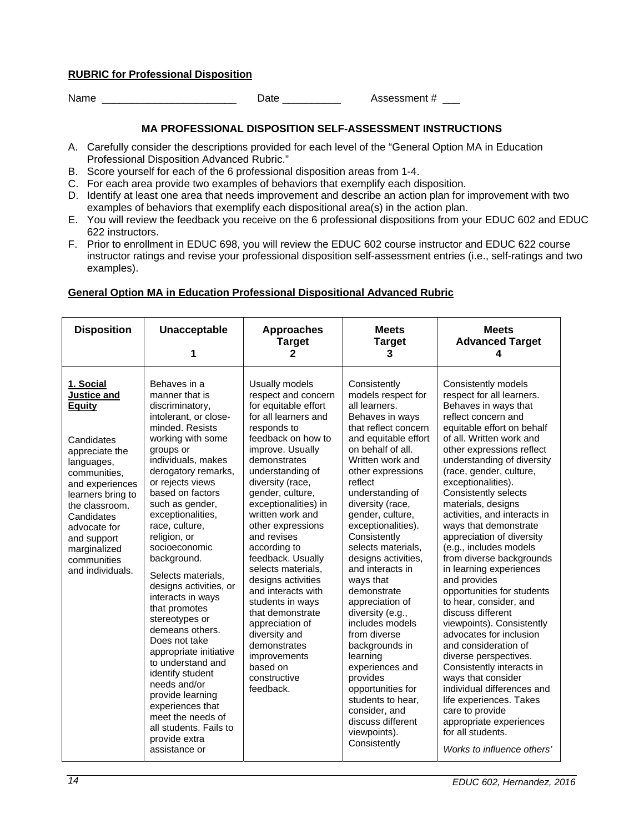## **RUBRIC for Professional Disposition**

Name \_\_\_\_\_\_\_\_\_\_\_\_\_\_\_\_\_\_\_\_\_\_\_\_\_\_\_\_ Date \_\_\_\_\_\_\_\_\_\_\_\_ Assessment # \_\_\_

## **MA PROFESSIONAL DISPOSITION SELF-ASSESSMENT INSTRUCTIONS**

- A. Carefully consider the descriptions provided for each level of the "General Option MA in Education Professional Disposition Advanced Rubric."
- B. Score yourself for each of the 6 professional disposition areas from 1-4.
- C. For each area provide two examples of behaviors that exemplify each disposition.
- D. Identify at least one area that needs improvement and describe an action plan for improvement with two examples of behaviors that exemplify each dispositional area(s) in the action plan.
- E. You will review the feedback you receive on the 6 professional dispositions from your EDUC 602 and EDUC 622 instructors.
- F. Prior to enrollment in EDUC 698, you will review the EDUC 602 course instructor and EDUC 622 course instructor ratings and revise your professional disposition self-assessment entries (i.e., self-ratings and two examples).

# **General Option MA in Education Professional Dispositional Advanced Rubric**

| <b>Disposition</b>                                                                                                                                                                                                                                                | Unacceptable<br>1                                                                                                                                                                                                                                                                                                                                                                                                                                                                                                                                                                                                                                                                      | <b>Approaches</b><br><b>Target</b><br>2                                                                                                                                                                                                                                                                                                                                                                                                                                                                                                                                | <b>Meets</b><br><b>Target</b><br>3                                                                                                                                                                                                                                                                                                                                                                                                                                                                                                                                                                                                                    | <b>Meets</b><br><b>Advanced Target</b><br>4                                                                                                                                                                                                                                                                                                                                                                                                                                                                                                                                                                                                                                                                                                                                                                                                                                                                   |
|-------------------------------------------------------------------------------------------------------------------------------------------------------------------------------------------------------------------------------------------------------------------|----------------------------------------------------------------------------------------------------------------------------------------------------------------------------------------------------------------------------------------------------------------------------------------------------------------------------------------------------------------------------------------------------------------------------------------------------------------------------------------------------------------------------------------------------------------------------------------------------------------------------------------------------------------------------------------|------------------------------------------------------------------------------------------------------------------------------------------------------------------------------------------------------------------------------------------------------------------------------------------------------------------------------------------------------------------------------------------------------------------------------------------------------------------------------------------------------------------------------------------------------------------------|-------------------------------------------------------------------------------------------------------------------------------------------------------------------------------------------------------------------------------------------------------------------------------------------------------------------------------------------------------------------------------------------------------------------------------------------------------------------------------------------------------------------------------------------------------------------------------------------------------------------------------------------------------|---------------------------------------------------------------------------------------------------------------------------------------------------------------------------------------------------------------------------------------------------------------------------------------------------------------------------------------------------------------------------------------------------------------------------------------------------------------------------------------------------------------------------------------------------------------------------------------------------------------------------------------------------------------------------------------------------------------------------------------------------------------------------------------------------------------------------------------------------------------------------------------------------------------|
| 1. Social<br>Justice and<br><b>Equity</b><br>Candidates<br>appreciate the<br>languages,<br>communities,<br>and experiences<br>learners bring to<br>the classroom.<br>Candidates<br>advocate for<br>and support<br>marginalized<br>communities<br>and individuals. | Behaves in a<br>manner that is<br>discriminatory,<br>intolerant, or close-<br>minded, Resists<br>working with some<br>groups or<br>individuals, makes<br>derogatory remarks,<br>or rejects views<br>based on factors<br>such as gender,<br>exceptionalities,<br>race, culture,<br>religion, or<br>socioeconomic<br>background.<br>Selects materials,<br>designs activities, or<br>interacts in ways<br>that promotes<br>stereotypes or<br>demeans others.<br>Does not take<br>appropriate initiative<br>to understand and<br>identify student<br>needs and/or<br>provide learning<br>experiences that<br>meet the needs of<br>all students. Fails to<br>provide extra<br>assistance or | Usually models<br>respect and concern<br>for equitable effort<br>for all learners and<br>responds to<br>feedback on how to<br>improve. Usually<br>demonstrates<br>understanding of<br>diversity (race,<br>gender, culture,<br>exceptionalities) in<br>written work and<br>other expressions<br>and revises<br>according to<br>feedback. Usually<br>selects materials,<br>designs activities<br>and interacts with<br>students in ways<br>that demonstrate<br>appreciation of<br>diversity and<br>demonstrates<br>improvements<br>based on<br>constructive<br>feedback. | Consistently<br>models respect for<br>all learners.<br>Behaves in ways<br>that reflect concern<br>and equitable effort<br>on behalf of all.<br>Written work and<br>other expressions<br>reflect<br>understanding of<br>diversity (race,<br>gender, culture,<br>exceptionalities).<br>Consistently<br>selects materials,<br>designs activities,<br>and interacts in<br>ways that<br>demonstrate<br>appreciation of<br>diversity (e.g.,<br>includes models<br>from diverse<br>backgrounds in<br>learning<br>experiences and<br>provides<br>opportunities for<br>students to hear,<br>consider, and<br>discuss different<br>viewpoints).<br>Consistently | Consistently models<br>respect for all learners.<br>Behaves in ways that<br>reflect concern and<br>equitable effort on behalf<br>of all. Written work and<br>other expressions reflect<br>understanding of diversity<br>(race, gender, culture,<br>exceptionalities).<br>Consistently selects<br>materials, designs<br>activities, and interacts in<br>ways that demonstrate<br>appreciation of diversity<br>(e.g., includes models<br>from diverse backgrounds<br>in learning experiences<br>and provides<br>opportunities for students<br>to hear, consider, and<br>discuss different<br>viewpoints). Consistently<br>advocates for inclusion<br>and consideration of<br>diverse perspectives.<br>Consistently interacts in<br>ways that consider<br>individual differences and<br>life experiences. Takes<br>care to provide<br>appropriate experiences<br>for all students.<br>Works to influence others' |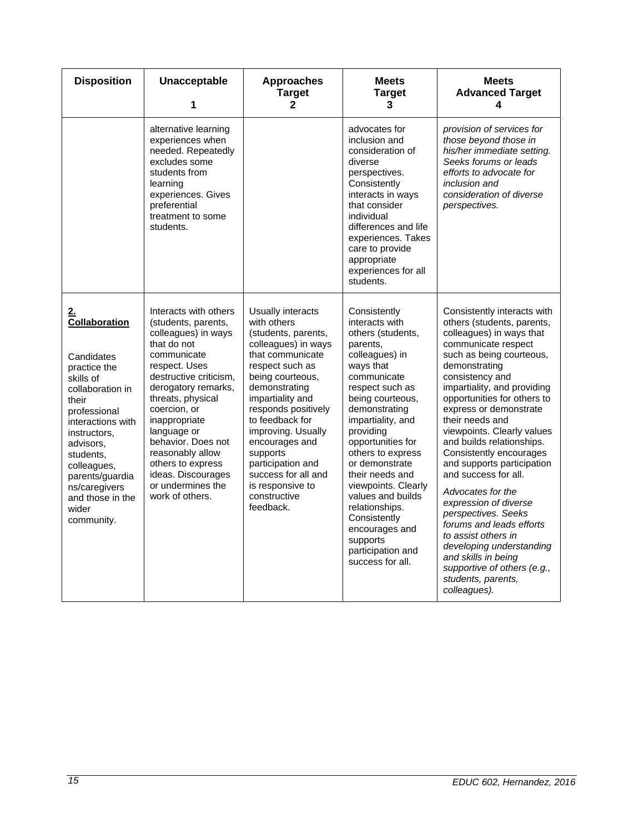| <b>Disposition</b>                                                                                                                                                                                                                                                              | <b>Unacceptable</b><br>1                                                                                                                                                                                                                                                                                                                                              | <b>Approaches</b><br><b>Target</b><br>$\mathbf{2}$                                                                                                                                                                                                                                                                                                                        | <b>Meets</b><br><b>Target</b><br>3                                                                                                                                                                                                                                                                                                                                                                                                          | <b>Meets</b><br><b>Advanced Target</b><br>4                                                                                                                                                                                                                                                                                                                                                                                                                                                                                                                                                                                                                                         |
|---------------------------------------------------------------------------------------------------------------------------------------------------------------------------------------------------------------------------------------------------------------------------------|-----------------------------------------------------------------------------------------------------------------------------------------------------------------------------------------------------------------------------------------------------------------------------------------------------------------------------------------------------------------------|---------------------------------------------------------------------------------------------------------------------------------------------------------------------------------------------------------------------------------------------------------------------------------------------------------------------------------------------------------------------------|---------------------------------------------------------------------------------------------------------------------------------------------------------------------------------------------------------------------------------------------------------------------------------------------------------------------------------------------------------------------------------------------------------------------------------------------|-------------------------------------------------------------------------------------------------------------------------------------------------------------------------------------------------------------------------------------------------------------------------------------------------------------------------------------------------------------------------------------------------------------------------------------------------------------------------------------------------------------------------------------------------------------------------------------------------------------------------------------------------------------------------------------|
|                                                                                                                                                                                                                                                                                 | alternative learning<br>experiences when<br>needed. Repeatedly<br>excludes some<br>students from<br>learning<br>experiences. Gives<br>preferential<br>treatment to some<br>students.                                                                                                                                                                                  |                                                                                                                                                                                                                                                                                                                                                                           | advocates for<br>inclusion and<br>consideration of<br>diverse<br>perspectives.<br>Consistently<br>interacts in ways<br>that consider<br>individual<br>differences and life<br>experiences. Takes<br>care to provide<br>appropriate<br>experiences for all<br>students.                                                                                                                                                                      | provision of services for<br>those beyond those in<br>his/her immediate setting.<br>Seeks forums or leads<br>efforts to advocate for<br>inclusion and<br>consideration of diverse<br>perspectives.                                                                                                                                                                                                                                                                                                                                                                                                                                                                                  |
| <u>2.</u><br>Collaboration<br>Candidates<br>practice the<br>skills of<br>collaboration in<br>their<br>professional<br>interactions with<br>instructors,<br>advisors,<br>students,<br>colleagues,<br>parents/guardia<br>ns/caregivers<br>and those in the<br>wider<br>community. | Interacts with others<br>(students, parents,<br>colleagues) in ways<br>that do not<br>communicate<br>respect. Uses<br>destructive criticism,<br>derogatory remarks,<br>threats, physical<br>coercion, or<br>inappropriate<br>language or<br>behavior. Does not<br>reasonably allow<br>others to express<br>ideas. Discourages<br>or undermines the<br>work of others. | Usually interacts<br>with others<br>(students, parents,<br>colleagues) in ways<br>that communicate<br>respect such as<br>being courteous,<br>demonstrating<br>impartiality and<br>responds positively<br>to feedback for<br>improving. Usually<br>encourages and<br>supports<br>participation and<br>success for all and<br>is responsive to<br>constructive<br>feedback. | Consistently<br>interacts with<br>others (students,<br>parents,<br>colleagues) in<br>ways that<br>communicate<br>respect such as<br>being courteous,<br>demonstrating<br>impartiality, and<br>providing<br>opportunities for<br>others to express<br>or demonstrate<br>their needs and<br>viewpoints. Clearly<br>values and builds<br>relationships.<br>Consistently<br>encourages and<br>supports<br>participation and<br>success for all. | Consistently interacts with<br>others (students, parents,<br>colleagues) in ways that<br>communicate respect<br>such as being courteous,<br>demonstrating<br>consistency and<br>impartiality, and providing<br>opportunities for others to<br>express or demonstrate<br>their needs and<br>viewpoints. Clearly values<br>and builds relationships.<br>Consistently encourages<br>and supports participation<br>and success for all.<br>Advocates for the<br>expression of diverse<br>perspectives. Seeks<br>forums and leads efforts<br>to assist others in<br>developing understanding<br>and skills in being<br>supportive of others (e.g.,<br>students, parents,<br>colleagues). |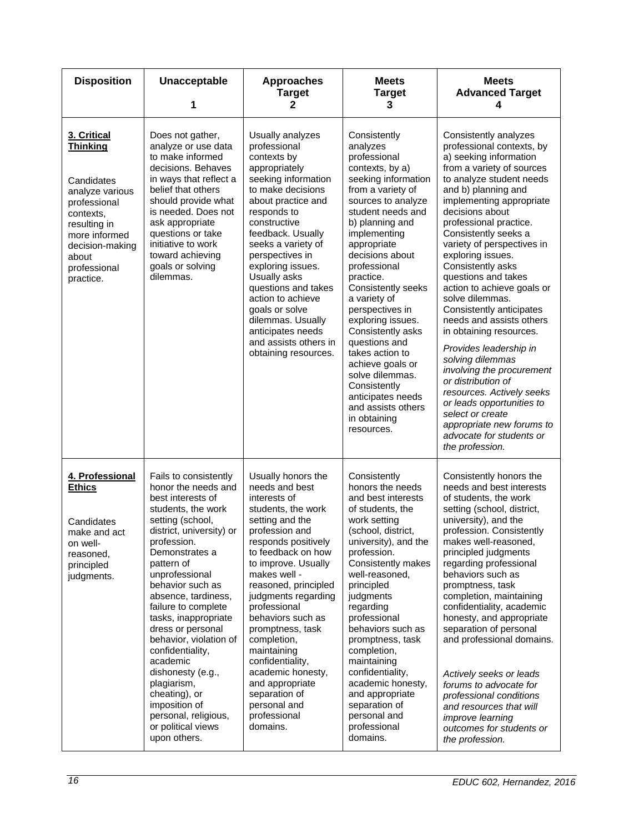| <b>Disposition</b>                                                                                                                                                                     | Unacceptable<br>1                                                                                                                                                                                                                                                                                                                                                                                                                                                                                                     | <b>Approaches</b><br><b>Target</b><br>2                                                                                                                                                                                                                                                                                                                                                                                                                            | <b>Meets</b><br><b>Target</b><br>3                                                                                                                                                                                                                                                                                                                                                                                                                                                                                          | <b>Meets</b><br><b>Advanced Target</b><br>4                                                                                                                                                                                                                                                                                                                                                                                                                                                                                                                                                                                                                                                                                                                 |
|----------------------------------------------------------------------------------------------------------------------------------------------------------------------------------------|-----------------------------------------------------------------------------------------------------------------------------------------------------------------------------------------------------------------------------------------------------------------------------------------------------------------------------------------------------------------------------------------------------------------------------------------------------------------------------------------------------------------------|--------------------------------------------------------------------------------------------------------------------------------------------------------------------------------------------------------------------------------------------------------------------------------------------------------------------------------------------------------------------------------------------------------------------------------------------------------------------|-----------------------------------------------------------------------------------------------------------------------------------------------------------------------------------------------------------------------------------------------------------------------------------------------------------------------------------------------------------------------------------------------------------------------------------------------------------------------------------------------------------------------------|-------------------------------------------------------------------------------------------------------------------------------------------------------------------------------------------------------------------------------------------------------------------------------------------------------------------------------------------------------------------------------------------------------------------------------------------------------------------------------------------------------------------------------------------------------------------------------------------------------------------------------------------------------------------------------------------------------------------------------------------------------------|
| 3. Critical<br><b>Thinking</b><br>Candidates<br>analyze various<br>professional<br>contexts,<br>resulting in<br>more informed<br>decision-making<br>about<br>professional<br>practice. | Does not gather,<br>analyze or use data<br>to make informed<br>decisions. Behaves<br>in ways that reflect a<br>belief that others<br>should provide what<br>is needed. Does not<br>ask appropriate<br>questions or take<br>initiative to work<br>toward achieving<br>goals or solving<br>dilemmas.                                                                                                                                                                                                                    | Usually analyzes<br>professional<br>contexts by<br>appropriately<br>seeking information<br>to make decisions<br>about practice and<br>responds to<br>constructive<br>feedback. Usually<br>seeks a variety of<br>perspectives in<br>exploring issues.<br>Usually asks<br>questions and takes<br>action to achieve<br>goals or solve<br>dilemmas. Usually<br>anticipates needs<br>and assists others in<br>obtaining resources.                                      | Consistently<br>analyzes<br>professional<br>contexts, by a)<br>seeking information<br>from a variety of<br>sources to analyze<br>student needs and<br>b) planning and<br>implementing<br>appropriate<br>decisions about<br>professional<br>practice.<br>Consistently seeks<br>a variety of<br>perspectives in<br>exploring issues.<br>Consistently asks<br>questions and<br>takes action to<br>achieve goals or<br>solve dilemmas.<br>Consistently<br>anticipates needs<br>and assists others<br>in obtaining<br>resources. | Consistently analyzes<br>professional contexts, by<br>a) seeking information<br>from a variety of sources<br>to analyze student needs<br>and b) planning and<br>implementing appropriate<br>decisions about<br>professional practice.<br>Consistently seeks a<br>variety of perspectives in<br>exploring issues.<br>Consistently asks<br>questions and takes<br>action to achieve goals or<br>solve dilemmas.<br>Consistently anticipates<br>needs and assists others<br>in obtaining resources.<br>Provides leadership in<br>solving dilemmas<br>involving the procurement<br>or distribution of<br>resources. Actively seeks<br>or leads opportunities to<br>select or create<br>appropriate new forums to<br>advocate for students or<br>the profession. |
| 4. Professional<br><b>Ethics</b><br>Candidates<br>make and act<br>on well-<br>reasoned,<br>principled<br>judgments.                                                                    | Fails to consistently<br>honor the needs and<br>best interests of<br>students, the work<br>setting (school,<br>district, university) or<br>profession.<br>Demonstrates a<br>pattern of<br>unprofessional<br>behavior such as<br>absence, tardiness,<br>failure to complete<br>tasks, inappropriate<br>dress or personal<br>behavior, violation of<br>confidentiality,<br>academic<br>dishonesty (e.g.,<br>plagiarism,<br>cheating), or<br>imposition of<br>personal, religious,<br>or political views<br>upon others. | Usually honors the<br>needs and best<br>interests of<br>students, the work<br>setting and the<br>profession and<br>responds positively<br>to feedback on how<br>to improve. Usually<br>makes well -<br>reasoned, principled<br>judgments regarding<br>professional<br>behaviors such as<br>promptness, task<br>completion,<br>maintaining<br>confidentiality,<br>academic honesty,<br>and appropriate<br>separation of<br>personal and<br>professional<br>domains. | Consistently<br>honors the needs<br>and best interests<br>of students, the<br>work setting<br>(school, district,<br>university), and the<br>profession.<br>Consistently makes<br>well-reasoned,<br>principled<br>judgments<br>regarding<br>professional<br>behaviors such as<br>promptness, task<br>completion,<br>maintaining<br>confidentiality,<br>academic honesty,<br>and appropriate<br>separation of<br>personal and<br>professional<br>domains.                                                                     | Consistently honors the<br>needs and best interests<br>of students, the work<br>setting (school, district,<br>university), and the<br>profession. Consistently<br>makes well-reasoned,<br>principled judgments<br>regarding professional<br>behaviors such as<br>promptness, task<br>completion, maintaining<br>confidentiality, academic<br>honesty, and appropriate<br>separation of personal<br>and professional domains.<br>Actively seeks or leads<br>forums to advocate for<br>professional conditions<br>and resources that will<br><i>improve learning</i><br>outcomes for students or<br>the profession.                                                                                                                                           |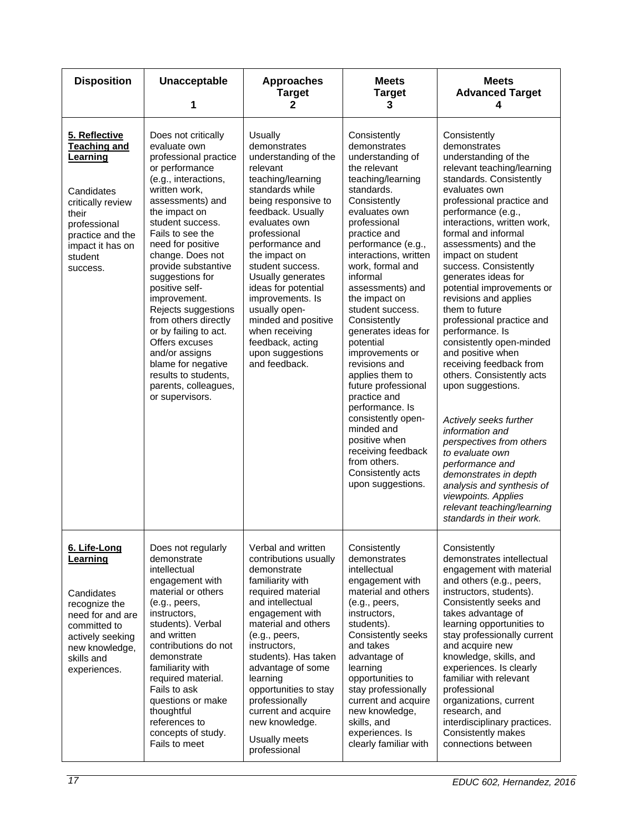| <b>Disposition</b>                                                                                                                                                                 | Unacceptable<br>1                                                                                                                                                                                                                                                                                                                                                                                                                                                                                                              | <b>Approaches</b><br><b>Target</b><br>2                                                                                                                                                                                                                                                                                                                                                                                     | <b>Meets</b><br><b>Target</b><br>3                                                                                                                                                                                                                                                                                                                                                                                                                                                                                                                                                                                     | <b>Meets</b><br><b>Advanced Target</b><br>4                                                                                                                                                                                                                                                                                                                                                                                                                                                                                                                                                                                                                                                                                                                                                                                                      |
|------------------------------------------------------------------------------------------------------------------------------------------------------------------------------------|--------------------------------------------------------------------------------------------------------------------------------------------------------------------------------------------------------------------------------------------------------------------------------------------------------------------------------------------------------------------------------------------------------------------------------------------------------------------------------------------------------------------------------|-----------------------------------------------------------------------------------------------------------------------------------------------------------------------------------------------------------------------------------------------------------------------------------------------------------------------------------------------------------------------------------------------------------------------------|------------------------------------------------------------------------------------------------------------------------------------------------------------------------------------------------------------------------------------------------------------------------------------------------------------------------------------------------------------------------------------------------------------------------------------------------------------------------------------------------------------------------------------------------------------------------------------------------------------------------|--------------------------------------------------------------------------------------------------------------------------------------------------------------------------------------------------------------------------------------------------------------------------------------------------------------------------------------------------------------------------------------------------------------------------------------------------------------------------------------------------------------------------------------------------------------------------------------------------------------------------------------------------------------------------------------------------------------------------------------------------------------------------------------------------------------------------------------------------|
| 5. Reflective<br><b>Teaching and</b><br><b>Learning</b><br>Candidates<br>critically review<br>their<br>professional<br>practice and the<br>impact it has on<br>student<br>success. | Does not critically<br>evaluate own<br>professional practice<br>or performance<br>(e.g., interactions,<br>written work,<br>assessments) and<br>the impact on<br>student success.<br>Fails to see the<br>need for positive<br>change. Does not<br>provide substantive<br>suggestions for<br>positive self-<br>improvement.<br>Rejects suggestions<br>from others directly<br>or by failing to act.<br>Offers excuses<br>and/or assigns<br>blame for negative<br>results to students,<br>parents, colleagues,<br>or supervisors. | Usually<br>demonstrates<br>understanding of the<br>relevant<br>teaching/learning<br>standards while<br>being responsive to<br>feedback. Usually<br>evaluates own<br>professional<br>performance and<br>the impact on<br>student success.<br>Usually generates<br>ideas for potential<br>improvements. Is<br>usually open-<br>minded and positive<br>when receiving<br>feedback, acting<br>upon suggestions<br>and feedback. | Consistently<br>demonstrates<br>understanding of<br>the relevant<br>teaching/learning<br>standards.<br>Consistently<br>evaluates own<br>professional<br>practice and<br>performance (e.g.,<br>interactions, written<br>work, formal and<br>informal<br>assessments) and<br>the impact on<br>student success.<br>Consistently<br>generates ideas for<br>potential<br>improvements or<br>revisions and<br>applies them to<br>future professional<br>practice and<br>performance. Is<br>consistently open-<br>minded and<br>positive when<br>receiving feedback<br>from others.<br>Consistently acts<br>upon suggestions. | Consistently<br>demonstrates<br>understanding of the<br>relevant teaching/learning<br>standards. Consistently<br>evaluates own<br>professional practice and<br>performance (e.g.,<br>interactions, written work,<br>formal and informal<br>assessments) and the<br>impact on student<br>success. Consistently<br>generates ideas for<br>potential improvements or<br>revisions and applies<br>them to future<br>professional practice and<br>performance. Is<br>consistently open-minded<br>and positive when<br>receiving feedback from<br>others. Consistently acts<br>upon suggestions.<br>Actively seeks further<br>information and<br>perspectives from others<br>to evaluate own<br>performance and<br>demonstrates in depth<br>analysis and synthesis of<br>viewpoints. Applies<br>relevant teaching/learning<br>standards in their work. |
| 6. Life-Long<br>Learning<br>Candidates<br>recognize the<br>need for and are<br>committed to<br>actively seeking<br>new knowledge,<br>skills and<br>experiences.                    | Does not regularly<br>demonstrate<br>intellectual<br>engagement with<br>material or others<br>(e.g., peers,<br>instructors,<br>students). Verbal<br>and written<br>contributions do not<br>demonstrate<br>familiarity with<br>required material.<br>Fails to ask<br>questions or make<br>thoughtful<br>references to<br>concepts of study.<br>Fails to meet                                                                                                                                                                    | Verbal and written<br>contributions usually<br>demonstrate<br>familiarity with<br>required material<br>and intellectual<br>engagement with<br>material and others<br>(e.g., peers,<br>instructors,<br>students). Has taken<br>advantage of some<br>learning<br>opportunities to stay<br>professionally<br>current and acquire<br>new knowledge.<br>Usually meets<br>professional                                            | Consistently<br>demonstrates<br>intellectual<br>engagement with<br>material and others<br>(e.g., peers,<br>instructors,<br>students).<br>Consistently seeks<br>and takes<br>advantage of<br>learning<br>opportunities to<br>stay professionally<br>current and acquire<br>new knowledge,<br>skills, and<br>experiences. Is<br>clearly familiar with                                                                                                                                                                                                                                                                    | Consistently<br>demonstrates intellectual<br>engagement with material<br>and others (e.g., peers,<br>instructors, students).<br>Consistently seeks and<br>takes advantage of<br>learning opportunities to<br>stay professionally current<br>and acquire new<br>knowledge, skills, and<br>experiences. Is clearly<br>familiar with relevant<br>professional<br>organizations, current<br>research, and<br>interdisciplinary practices.<br>Consistently makes<br>connections between                                                                                                                                                                                                                                                                                                                                                               |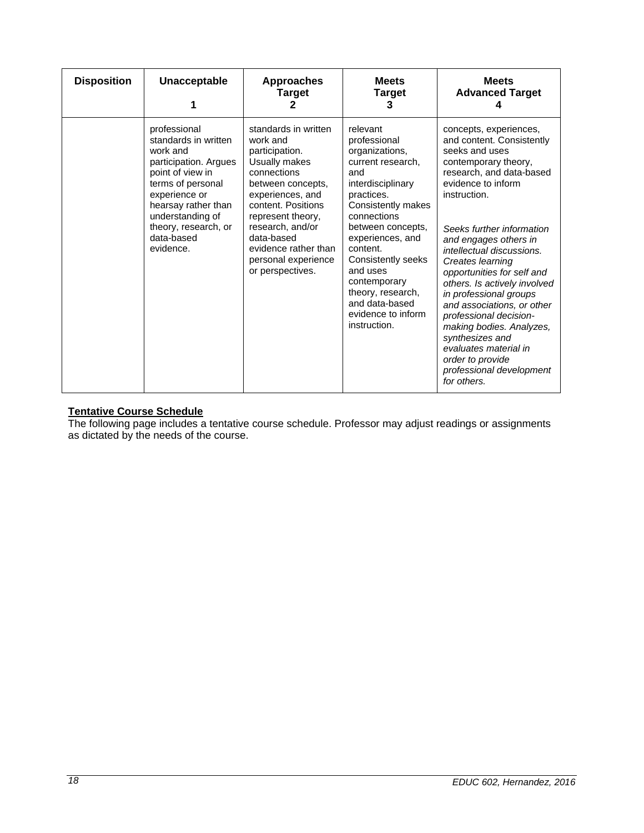| <b>Disposition</b> | Unacceptable                                                                                                                                                                                                                      | <b>Approaches</b><br><b>Target</b>                                                                                                                                                                                                                                          | <b>Meets</b><br><b>Target</b><br>3                                                                                                                                                                                                                                                                                                 | <b>Meets</b><br><b>Advanced Target</b>                                                                                                                                                                                                                                                                                                                                                                                                                                                                                                                        |
|--------------------|-----------------------------------------------------------------------------------------------------------------------------------------------------------------------------------------------------------------------------------|-----------------------------------------------------------------------------------------------------------------------------------------------------------------------------------------------------------------------------------------------------------------------------|------------------------------------------------------------------------------------------------------------------------------------------------------------------------------------------------------------------------------------------------------------------------------------------------------------------------------------|---------------------------------------------------------------------------------------------------------------------------------------------------------------------------------------------------------------------------------------------------------------------------------------------------------------------------------------------------------------------------------------------------------------------------------------------------------------------------------------------------------------------------------------------------------------|
|                    | professional<br>standards in written<br>work and<br>participation. Argues<br>point of view in<br>terms of personal<br>experience or<br>hearsay rather than<br>understanding of<br>theory, research, or<br>data-based<br>evidence. | standards in written<br>work and<br>participation.<br>Usually makes<br>connections<br>between concepts,<br>experiences, and<br>content. Positions<br>represent theory,<br>research, and/or<br>data-based<br>evidence rather than<br>personal experience<br>or perspectives. | relevant<br>professional<br>organizations,<br>current research,<br>and<br>interdisciplinary<br>practices.<br>Consistently makes<br>connections<br>between concepts,<br>experiences, and<br>content.<br>Consistently seeks<br>and uses<br>contemporary<br>theory, research,<br>and data-based<br>evidence to inform<br>instruction. | concepts, experiences,<br>and content. Consistently<br>seeks and uses<br>contemporary theory,<br>research, and data-based<br>evidence to inform<br>instruction.<br>Seeks further information<br>and engages others in<br>intellectual discussions.<br>Creates learning<br>opportunities for self and<br>others. Is actively involved<br>in professional groups<br>and associations, or other<br>professional decision-<br>making bodies. Analyzes,<br>synthesizes and<br>evaluates material in<br>order to provide<br>professional development<br>for others. |

## **Tentative Course Schedule**

The following page includes a tentative course schedule. Professor may adjust readings or assignments as dictated by the needs of the course.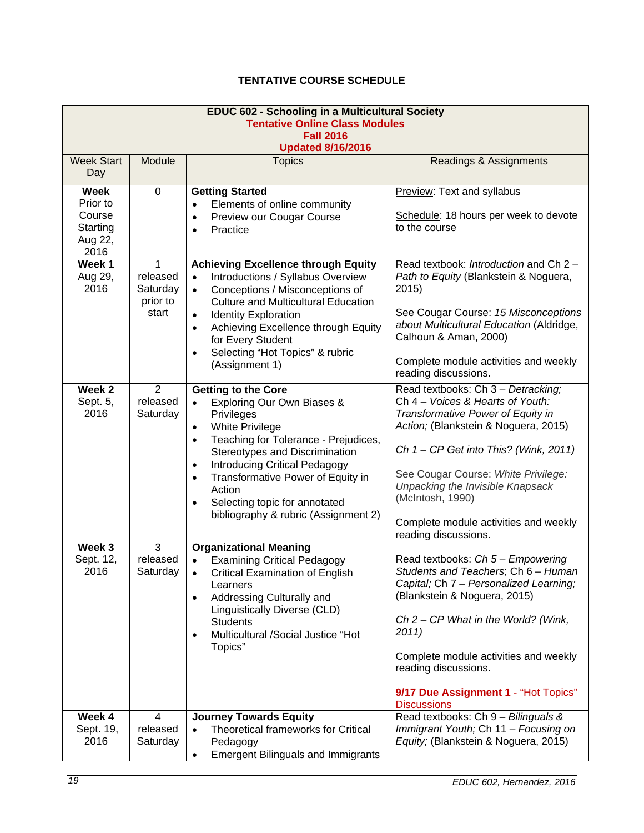# **TENTATIVE COURSE SCHEDULE**

| <b>EDUC 602 - Schooling in a Multicultural Society</b><br><b>Tentative Online Class Modules</b><br><b>Fall 2016</b> |                                                |                                                                                                                                                                                                                                                                                                                                                                                                                          |                                                                                                                                                                                                                                                                                                                                                              |  |
|---------------------------------------------------------------------------------------------------------------------|------------------------------------------------|--------------------------------------------------------------------------------------------------------------------------------------------------------------------------------------------------------------------------------------------------------------------------------------------------------------------------------------------------------------------------------------------------------------------------|--------------------------------------------------------------------------------------------------------------------------------------------------------------------------------------------------------------------------------------------------------------------------------------------------------------------------------------------------------------|--|
|                                                                                                                     |                                                | <b>Updated 8/16/2016</b>                                                                                                                                                                                                                                                                                                                                                                                                 |                                                                                                                                                                                                                                                                                                                                                              |  |
| <b>Week Start</b><br>Day                                                                                            | Module                                         | <b>Topics</b>                                                                                                                                                                                                                                                                                                                                                                                                            | Readings & Assignments                                                                                                                                                                                                                                                                                                                                       |  |
| <b>Week</b><br>Prior to<br>Course<br>Starting<br>Aug 22,<br>2016                                                    | 0                                              | <b>Getting Started</b><br>Elements of online community<br>Preview our Cougar Course<br>Practice                                                                                                                                                                                                                                                                                                                          | Preview: Text and syllabus<br>Schedule: 18 hours per week to devote<br>to the course                                                                                                                                                                                                                                                                         |  |
| Week 1<br>Aug 29,<br>2016                                                                                           | 1<br>released<br>Saturday<br>prior to<br>start | <b>Achieving Excellence through Equity</b><br>Introductions / Syllabus Overview<br>$\bullet$<br>Conceptions / Misconceptions of<br>$\bullet$<br><b>Culture and Multicultural Education</b><br><b>Identity Exploration</b><br>$\bullet$<br>Achieving Excellence through Equity<br>$\bullet$<br>for Every Student<br>Selecting "Hot Topics" & rubric<br>$\bullet$<br>(Assignment 1)                                        | Read textbook: Introduction and Ch 2 -<br>Path to Equity (Blankstein & Noguera,<br>2015)<br>See Cougar Course: 15 Misconceptions<br>about Multicultural Education (Aldridge,<br>Calhoun & Aman, 2000)<br>Complete module activities and weekly<br>reading discussions.                                                                                       |  |
| Week 2<br>Sept. 5,<br>2016                                                                                          | $\overline{2}$<br>released<br>Saturday         | <b>Getting to the Core</b><br>Exploring Our Own Biases &<br>$\bullet$<br>Privileges<br><b>White Privilege</b><br>$\bullet$<br>Teaching for Tolerance - Prejudices,<br>$\bullet$<br>Stereotypes and Discrimination<br><b>Introducing Critical Pedagogy</b><br>$\bullet$<br>Transformative Power of Equity in<br>$\bullet$<br>Action<br>Selecting topic for annotated<br>$\bullet$<br>bibliography & rubric (Assignment 2) | Read textbooks: Ch 3 - Detracking;<br>Ch 4 - Voices & Hearts of Youth:<br>Transformative Power of Equity in<br>Action; (Blankstein & Noguera, 2015)<br>Ch 1 - CP Get into This? (Wink, 2011)<br>See Cougar Course: White Privilege:<br>Unpacking the Invisible Knapsack<br>(McIntosh, 1990)<br>Complete module activities and weekly<br>reading discussions. |  |
| Week 3<br>Sept. 12,<br>2016                                                                                         | 3<br>released<br>Saturday                      | <b>Organizational Meaning</b><br><b>Examining Critical Pedagogy</b><br>$\bullet$<br><b>Critical Examination of English</b><br>$\bullet$<br>Learners<br>Addressing Culturally and<br>$\bullet$<br>Linguistically Diverse (CLD)<br><b>Students</b><br>Multicultural /Social Justice "Hot<br>$\bullet$<br>Topics"                                                                                                           | Read textbooks: Ch 5 - Empowering<br>Students and Teachers; Ch 6 - Human<br>Capital; Ch 7 - Personalized Learning;<br>(Blankstein & Noguera, 2015)<br>Ch $2$ – CP What in the World? (Wink,<br>2011)<br>Complete module activities and weekly<br>reading discussions.<br>9/17 Due Assignment 1 - "Hot Topics"<br><b>Discussions</b>                          |  |
| Week 4<br>Sept. 19,<br>2016                                                                                         | $\overline{4}$<br>released<br>Saturday         | <b>Journey Towards Equity</b><br><b>Theoretical frameworks for Critical</b><br>Pedagogy<br><b>Emergent Bilinguals and Immigrants</b><br>$\bullet$                                                                                                                                                                                                                                                                        | Read textbooks: Ch 9 - Bilinguals &<br>Immigrant Youth; Ch 11 - Focusing on<br>Equity; (Blankstein & Noguera, 2015)                                                                                                                                                                                                                                          |  |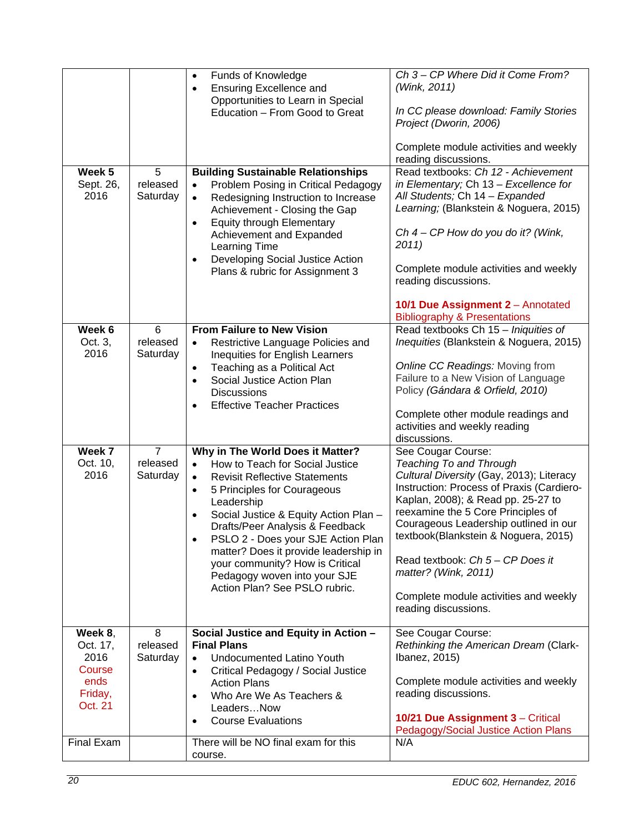|                                               |                                        | Funds of Knowledge<br>$\bullet$<br><b>Ensuring Excellence and</b><br>$\bullet$                                                                                                                                                                                                                                                                                                                                                                                 | Ch 3 - CP Where Did it Come From?<br>(Wink, 2011)                                                                                                                                                                                                                                                                                                                                                                                |
|-----------------------------------------------|----------------------------------------|----------------------------------------------------------------------------------------------------------------------------------------------------------------------------------------------------------------------------------------------------------------------------------------------------------------------------------------------------------------------------------------------------------------------------------------------------------------|----------------------------------------------------------------------------------------------------------------------------------------------------------------------------------------------------------------------------------------------------------------------------------------------------------------------------------------------------------------------------------------------------------------------------------|
|                                               |                                        | Opportunities to Learn in Special<br>Education - From Good to Great                                                                                                                                                                                                                                                                                                                                                                                            | In CC please download: Family Stories<br>Project (Dworin, 2006)                                                                                                                                                                                                                                                                                                                                                                  |
|                                               |                                        |                                                                                                                                                                                                                                                                                                                                                                                                                                                                | Complete module activities and weekly<br>reading discussions.                                                                                                                                                                                                                                                                                                                                                                    |
| Week <sub>5</sub><br>Sept. 26,<br>2016        | 5<br>released<br>Saturday              | <b>Building Sustainable Relationships</b><br>Problem Posing in Critical Pedagogy<br>Redesigning Instruction to Increase<br>$\bullet$<br>Achievement - Closing the Gap<br><b>Equity through Elementary</b><br>$\bullet$<br>Achievement and Expanded<br>Learning Time<br>Developing Social Justice Action<br>$\bullet$<br>Plans & rubric for Assignment 3                                                                                                        | Read textbooks: Ch 12 - Achievement<br>in Elementary; Ch 13 - Excellence for<br>All Students; Ch 14 - Expanded<br>Learning; (Blankstein & Noguera, 2015)<br>Ch $4$ – CP How do you do it? (Wink,<br>2011)<br>Complete module activities and weekly<br>reading discussions.<br>10/1 Due Assignment 2 - Annotated                                                                                                                  |
|                                               |                                        |                                                                                                                                                                                                                                                                                                                                                                                                                                                                | <b>Bibliography &amp; Presentations</b>                                                                                                                                                                                                                                                                                                                                                                                          |
| Week 6<br>Oct. 3,<br>2016                     | 6<br>released<br>Saturday              | <b>From Failure to New Vision</b><br>Restrictive Language Policies and<br>$\bullet$<br>Inequities for English Learners                                                                                                                                                                                                                                                                                                                                         | Read textbooks Ch 15 - Iniquities of<br>Inequities (Blankstein & Noguera, 2015)                                                                                                                                                                                                                                                                                                                                                  |
|                                               |                                        | Teaching as a Political Act<br>$\bullet$                                                                                                                                                                                                                                                                                                                                                                                                                       | Online CC Readings: Moving from<br>Failure to a New Vision of Language                                                                                                                                                                                                                                                                                                                                                           |
|                                               |                                        | Social Justice Action Plan<br>$\bullet$<br><b>Discussions</b>                                                                                                                                                                                                                                                                                                                                                                                                  | Policy (Gándara & Orfield, 2010)                                                                                                                                                                                                                                                                                                                                                                                                 |
|                                               |                                        | <b>Effective Teacher Practices</b>                                                                                                                                                                                                                                                                                                                                                                                                                             | Complete other module readings and<br>activities and weekly reading<br>discussions.                                                                                                                                                                                                                                                                                                                                              |
| Week 7<br>Oct. 10,<br>2016                    | $\overline{7}$<br>released<br>Saturday | Why in The World Does it Matter?<br>How to Teach for Social Justice<br><b>Revisit Reflective Statements</b><br>$\bullet$<br>5 Principles for Courageous<br>$\bullet$<br>Leadership<br>Social Justice & Equity Action Plan -<br>$\bullet$<br>Drafts/Peer Analysis & Feedback<br>PSLO 2 - Does your SJE Action Plan<br>matter? Does it provide leadership in<br>your community? How is Critical<br>Pedagogy woven into your SJE<br>Action Plan? See PSLO rubric. | See Cougar Course:<br>Teaching To and Through<br>Cultural Diversity (Gay, 2013); Literacy<br>Instruction: Process of Praxis (Cardiero-<br>Kaplan, 2008); & Read pp. 25-27 to<br>reexamine the 5 Core Principles of<br>Courageous Leadership outlined in our<br>textbook(Blankstein & Noguera, 2015)<br>Read textbook: Ch 5 - CP Does it<br>matter? (Wink, 2011)<br>Complete module activities and weekly<br>reading discussions. |
| Week 8,                                       | 8                                      | Social Justice and Equity in Action -                                                                                                                                                                                                                                                                                                                                                                                                                          | See Cougar Course:                                                                                                                                                                                                                                                                                                                                                                                                               |
| Oct. 17,<br>2016<br>Course<br>ends<br>Friday, | released<br>Saturday                   | <b>Final Plans</b><br>Undocumented Latino Youth<br>$\bullet$<br>Critical Pedagogy / Social Justice<br>$\bullet$<br><b>Action Plans</b><br>Who Are We As Teachers &<br>$\bullet$                                                                                                                                                                                                                                                                                | Rethinking the American Dream (Clark-<br>Ibanez, 2015)<br>Complete module activities and weekly<br>reading discussions.                                                                                                                                                                                                                                                                                                          |
| Oct. 21                                       |                                        | LeadersNow<br><b>Course Evaluations</b><br>$\bullet$                                                                                                                                                                                                                                                                                                                                                                                                           | 10/21 Due Assignment 3 - Critical<br>Pedagogy/Social Justice Action Plans                                                                                                                                                                                                                                                                                                                                                        |
| Final Exam                                    |                                        | There will be NO final exam for this<br>course.                                                                                                                                                                                                                                                                                                                                                                                                                | N/A                                                                                                                                                                                                                                                                                                                                                                                                                              |